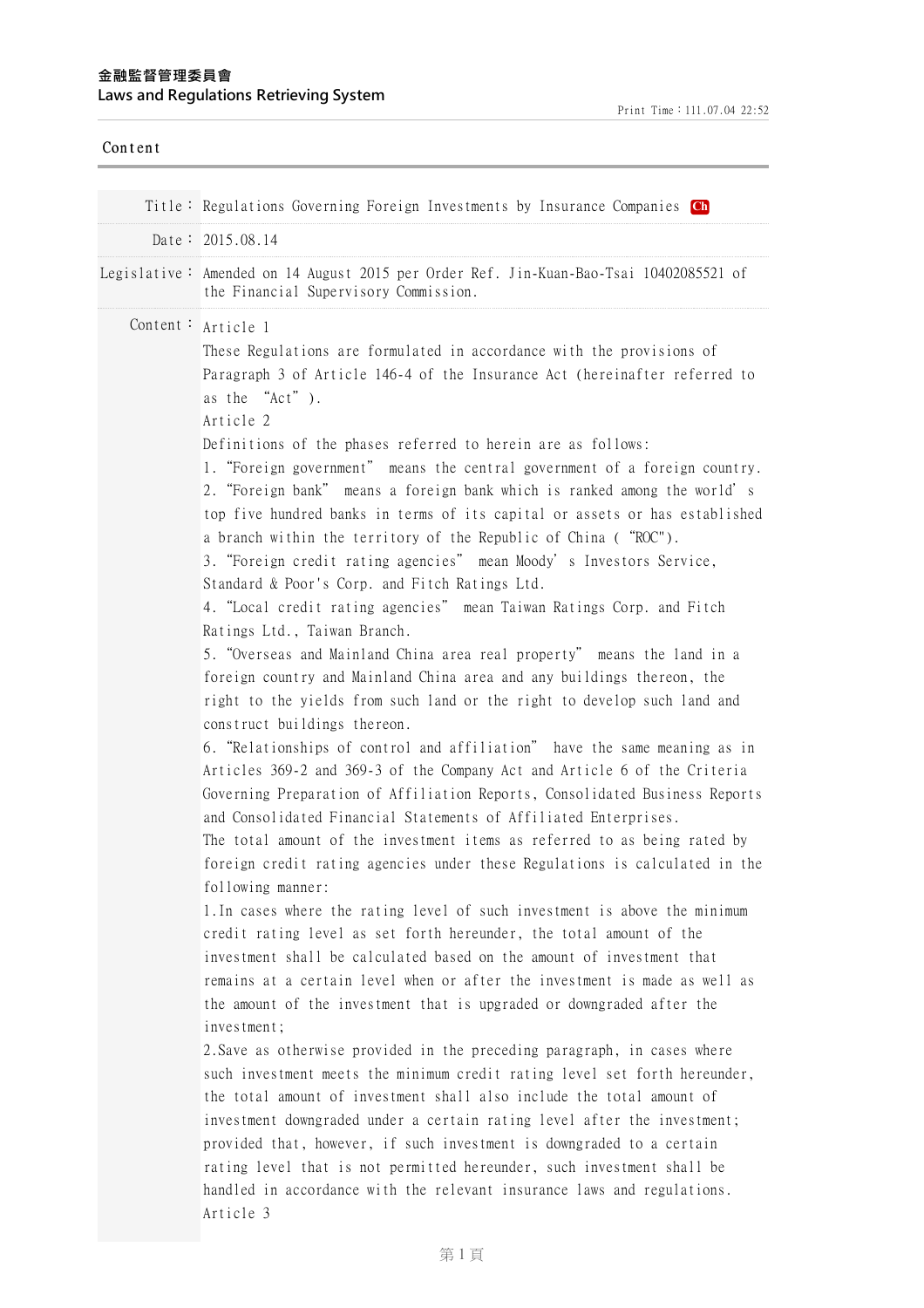| Content |                                                                                                                                                                                                                                                                                                                                                                                                                                                                                                                                                                                                                                                                                                                                                                                                                                                                                                                                                                                                                                                                                                                                                                                                                                                                                                                                  |
|---------|----------------------------------------------------------------------------------------------------------------------------------------------------------------------------------------------------------------------------------------------------------------------------------------------------------------------------------------------------------------------------------------------------------------------------------------------------------------------------------------------------------------------------------------------------------------------------------------------------------------------------------------------------------------------------------------------------------------------------------------------------------------------------------------------------------------------------------------------------------------------------------------------------------------------------------------------------------------------------------------------------------------------------------------------------------------------------------------------------------------------------------------------------------------------------------------------------------------------------------------------------------------------------------------------------------------------------------|
|         | Title: Regulations Governing Foreign Investments by Insurance Companies Ch                                                                                                                                                                                                                                                                                                                                                                                                                                                                                                                                                                                                                                                                                                                                                                                                                                                                                                                                                                                                                                                                                                                                                                                                                                                       |
|         | Date: $2015.08.14$                                                                                                                                                                                                                                                                                                                                                                                                                                                                                                                                                                                                                                                                                                                                                                                                                                                                                                                                                                                                                                                                                                                                                                                                                                                                                                               |
|         | Legislative: Amended on 14 August 2015 per Order Ref. Jin-Kuan-Bao-Tsai 10402085521 of<br>the Financial Supervisory Commission.                                                                                                                                                                                                                                                                                                                                                                                                                                                                                                                                                                                                                                                                                                                                                                                                                                                                                                                                                                                                                                                                                                                                                                                                  |
|         | Content: Article 1<br>These Regulations are formulated in accordance with the provisions of<br>Paragraph 3 of Article 146-4 of the Insurance Act (hereinafter referred to<br>as the "Act").<br>Article 2<br>Definitions of the phases referred to herein are as follows:<br>1. "Foreign government" means the central government of a foreign country.<br>2. "Foreign bank" means a foreign bank which is ranked among the world's<br>top five hundred banks in terms of its capital or assets or has established<br>a branch within the territory of the Republic of China ("ROC").<br>3. "Foreign credit rating agencies" mean Moody's Investors Service,<br>Standard & Poor's Corp. and Fitch Ratings Ltd.<br>4. "Local credit rating agencies" mean Taiwan Ratings Corp. and Fitch<br>Ratings Ltd., Taiwan Branch.<br>5. "Overseas and Mainland China area real property" means the land in a<br>foreign country and Mainland China area and any buildings thereon, the<br>right to the yields from such land or the right to develop such land and<br>construct buildings thereon.<br>6. "Relationships of control and affiliation" have the same meaning as in<br>Articles 369-2 and 369-3 of the Company Act and Article 6 of the Criteria<br>Governing Preparation of Affiliation Reports, Consolidated Business Reports |
|         | and Consolidated Financial Statements of Affiliated Enterprises.<br>The total amount of the investment items as referred to as being rated by<br>foreign credit rating agencies under these Regulations is calculated in the<br>following manner:<br>1. In cases where the rating level of such investment is above the minimum<br>credit rating level as set forth hereunder, the total amount of the<br>investment shall be calculated based on the amount of investment that<br>remains at a certain level when or after the investment is made as well as<br>the amount of the investment that is upgraded or downgraded after the<br>investment;<br>2. Save as otherwise provided in the preceding paragraph, in cases where<br>such investment meets the minimum credit rating level set forth hereunder,<br>the total amount of investment shall also include the total amount of<br>investment downgraded under a certain rating level after the investment;<br>provided that, however, if such investment is downgraded to a certain<br>rating level that is not permitted hereunder, such investment shall be<br>handled in accordance with the relevant insurance laws and regulations.<br>Article 3                                                                                                                  |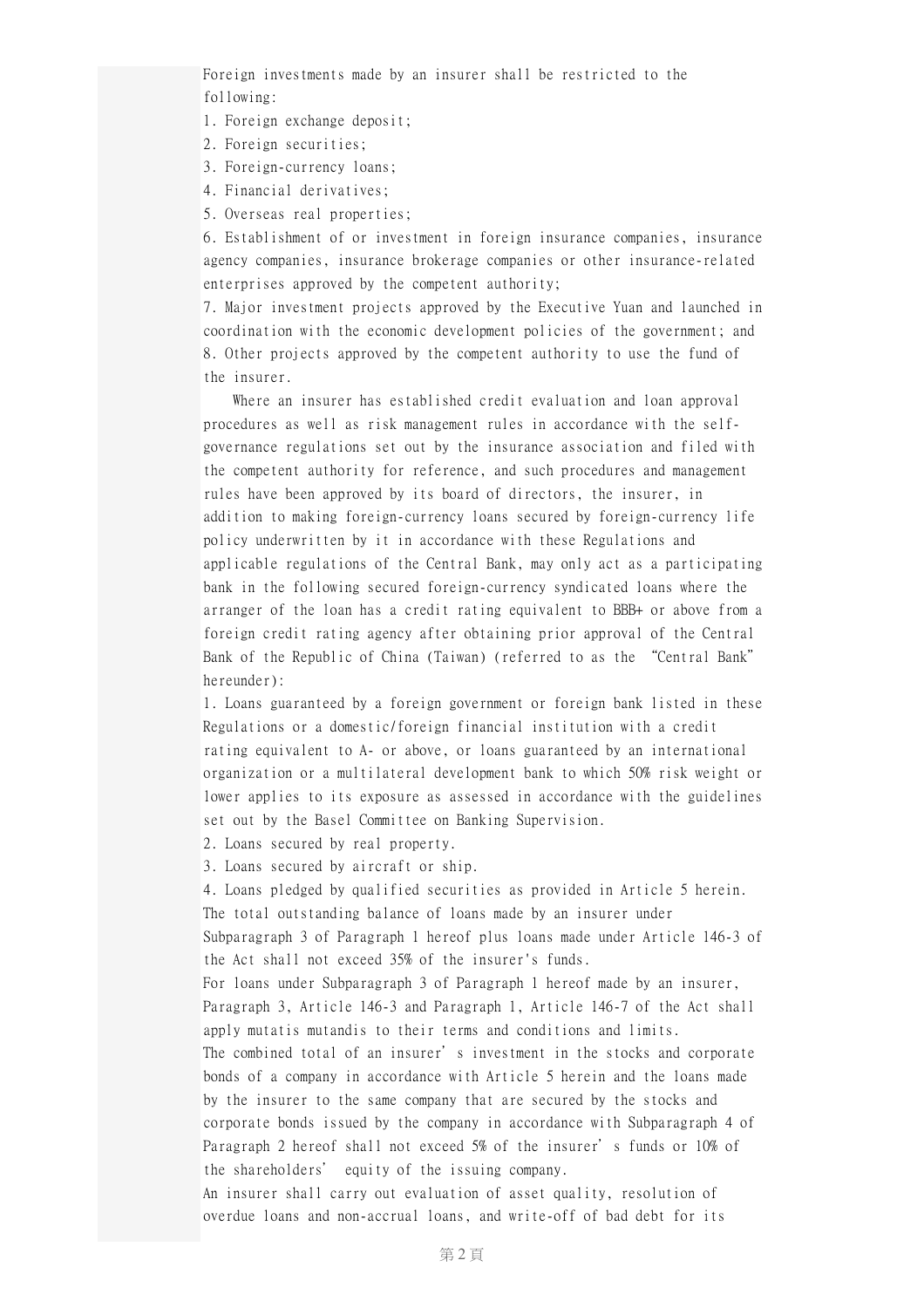Foreign investments made by an insurer shall be restricted to the following:

1. Foreign exchange deposit;

- 2. Foreign securities;
- 3. Foreign-currency loans;
- 4. Financial derivatives;
- 5. Overseas real properties;

6. Establishment of or investment in foreign insurance companies, insurance agency companies, insurance brokerage companies or other insurance-related enterprises approved by the competent authority;

7. Major investment projects approved by the Executive Yuan and launched in coordination with the economic development policies of the government; and 8. Other projects approved by the competent authority to use the fund of the insurer.

Where an insurer has established credit evaluation and loan approval procedures as well as risk management rules in accordance with the selfgovernance regulations set out by the insurance association and filed with the competent authority for reference, and such procedures and management rules have been approved by its board of directors, the insurer, in addition to making foreign-currency loans secured by foreign-currency life policy underwritten by it in accordance with these Regulations and applicable regulations of the Central Bank, may only act as a participating bank in the following secured foreign-currency syndicated loans where the arranger of the loan has a credit rating equivalent to BBB+ or above from a foreign credit rating agency after obtaining prior approval of the Central Bank of the Republic of China (Taiwan) (referred to as the "Central Bank" hereunder):

1. Loans guaranteed by a foreign government or foreign bank listed in these Regulations or a domestic/foreign financial institution with a credit rating equivalent to A- or above, or loans guaranteed by an international organization or a multilateral development bank to which 50% risk weight or lower applies to its exposure as assessed in accordance with the guidelines set out by the Basel Committee on Banking Supervision.

2. Loans secured by real property.

3. Loans secured by aircraft or ship.

4. Loans pledged by qualified securities as provided in Article 5 herein. The total outstanding balance of loans made by an insurer under Subparagraph 3 of Paragraph 1 hereof plus loans made under Article 146-3 of the Act shall not exceed 35% of the insurer's funds.

For loans under Subparagraph 3 of Paragraph 1 hereof made by an insurer, Paragraph 3, Article 146-3 and Paragraph 1, Article 146-7 of the Act shall apply mutatis mutandis to their terms and conditions and limits.

The combined total of an insurer's investment in the stocks and corporate bonds of a company in accordance with Article 5 herein and the loans made by the insurer to the same company that are secured by the stocks and corporate bonds issued by the company in accordance with Subparagraph 4 of Paragraph 2 hereof shall not exceed 5% of the insurer's funds or 10% of the shareholders' equity of the issuing company.

An insurer shall carry out evaluation of asset quality, resolution of overdue loans and non-accrual loans, and write-off of bad debt for its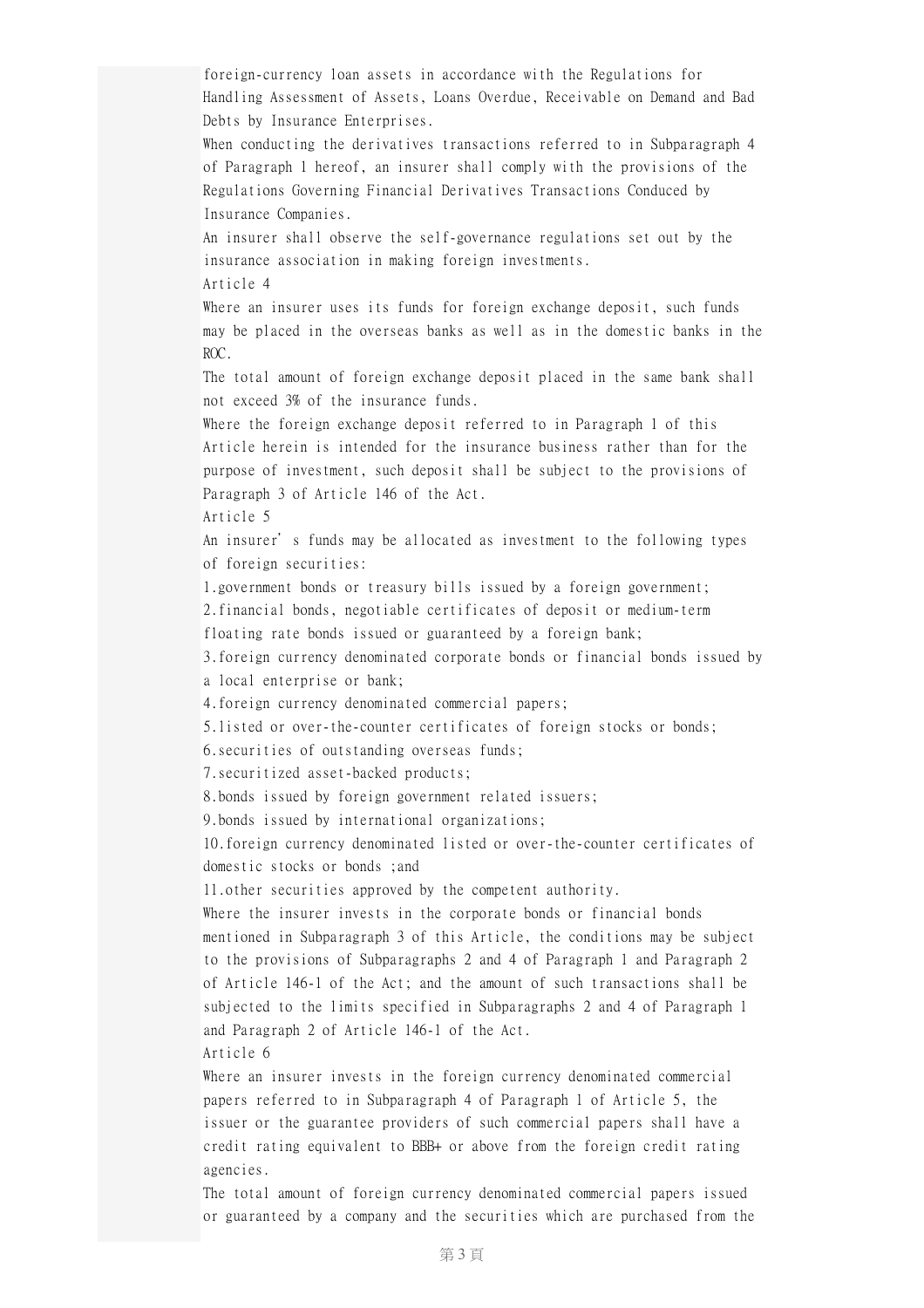foreign-currency loan assets in accordance with the Regulations for Handling Assessment of Assets, Loans Overdue, Receivable on Demand and Bad Debts by Insurance Enterprises. When conducting the derivatives transactions referred to in Subparagraph 4 of Paragraph 1 hereof, an insurer shall comply with the provisions of the Regulations Governing Financial Derivatives Transactions Conduced by Insurance Companies. An insurer shall observe the self-governance regulations set out by the insurance association in making foreign investments. Article 4 Where an insurer uses its funds for foreign exchange deposit, such funds may be placed in the overseas banks as well as in the domestic banks in the ROC. The total amount of foreign exchange deposit placed in the same bank shall not exceed 3% of the insurance funds. Where the foreign exchange deposit referred to in Paragraph 1 of this Article herein is intended for the insurance business rather than for the purpose of investment, such deposit shall be subject to the provisions of Paragraph 3 of Article 146 of the Act. Article 5 An insurer's funds may be allocated as investment to the following types of foreign securities: 1.government bonds or treasury bills issued by a foreign government; 2.financial bonds, negotiable certificates of deposit or medium-term floating rate bonds issued or guaranteed by a foreign bank; 3.foreign currency denominated corporate bonds or financial bonds issued by a local enterprise or bank; 4.foreign currency denominated commercial papers; 5.listed or over-the-counter certificates of foreign stocks or bonds; 6.securities of outstanding overseas funds; 7.securitized asset-backed products; 8.bonds issued by foreign government related issuers; 9.bonds issued by international organizations; 10.foreign currency denominated listed or over-the-counter certificates of domestic stocks or bonds ;and 11.other securities approved by the competent authority. Where the insurer invests in the corporate bonds or financial bonds mentioned in Subparagraph 3 of this Article, the conditions may be subject to the provisions of Subparagraphs 2 and 4 of Paragraph 1 and Paragraph 2 of Article 146-1 of the Act; and the amount of such transactions shall be subjected to the limits specified in Subparagraphs 2 and 4 of Paragraph 1 and Paragraph 2 of Article 146-1 of the Act. Article 6 Where an insurer invests in the foreign currency denominated commercial papers referred to in Subparagraph 4 of Paragraph 1 of Article 5, the issuer or the guarantee providers of such commercial papers shall have a credit rating equivalent to BBB+ or above from the foreign credit rating agencies.

The total amount of foreign currency denominated commercial papers issued or guaranteed by a company and the securities which are purchased from the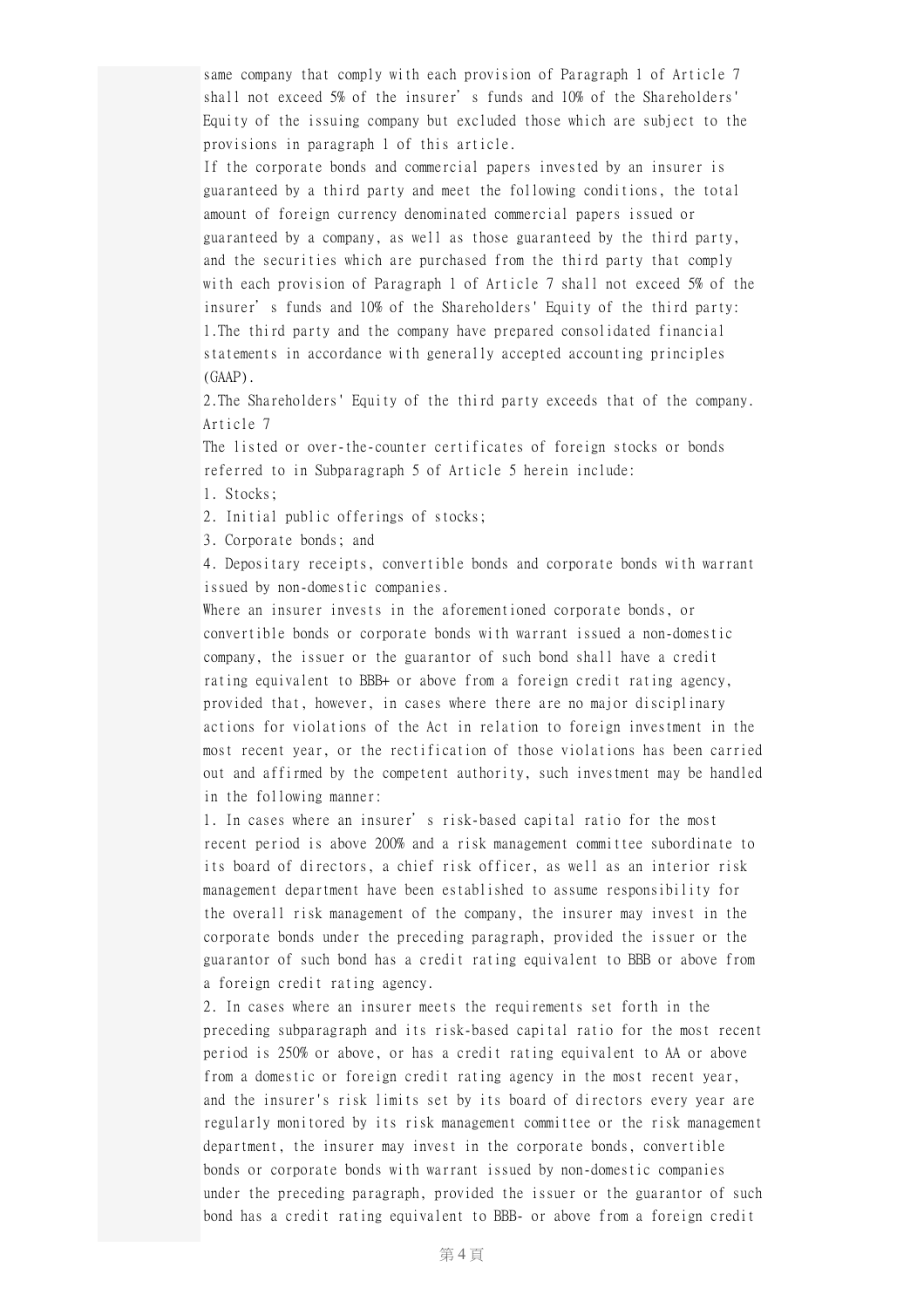same company that comply with each provision of Paragraph 1 of Article 7 shall not exceed 5% of the insurer's funds and 10% of the Shareholders' Equity of the issuing company but excluded those which are subject to the provisions in paragraph 1 of this article.

If the corporate bonds and commercial papers invested by an insurer is guaranteed by a third party and meet the following conditions, the total amount of foreign currency denominated commercial papers issued or guaranteed by a company, as well as those guaranteed by the third party, and the securities which are purchased from the third party that comply with each provision of Paragraph 1 of Article 7 shall not exceed 5% of the insurer's funds and 10% of the Shareholders' Equity of the third party: 1.The third party and the company have prepared consolidated financial statements in accordance with generally accepted accounting principles (GAAP).

2.The Shareholders' Equity of the third party exceeds that of the company. Article 7

The listed or over-the-counter certificates of foreign stocks or bonds referred to in Subparagraph 5 of Article 5 herein include:

1. Stocks;

2. Initial public offerings of stocks;

3. Corporate bonds; and

4. Depositary receipts, convertible bonds and corporate bonds with warrant issued by non-domestic companies.

Where an insurer invests in the aforementioned corporate bonds, or convertible bonds or corporate bonds with warrant issued a non-domestic company, the issuer or the guarantor of such bond shall have a credit rating equivalent to BBB+ or above from a foreign credit rating agency, provided that, however, in cases where there are no major disciplinary actions for violations of the Act in relation to foreign investment in the most recent year, or the rectification of those violations has been carried out and affirmed by the competent authority, such investment may be handled in the following manner:

1. In cases where an insurer's risk-based capital ratio for the most recent period is above 200% and a risk management committee subordinate to its board of directors, a chief risk officer, as well as an interior risk management department have been established to assume responsibility for the overall risk management of the company, the insurer may invest in the corporate bonds under the preceding paragraph, provided the issuer or the guarantor of such bond has a credit rating equivalent to BBB or above from a foreign credit rating agency.

2. In cases where an insurer meets the requirements set forth in the preceding subparagraph and its risk-based capital ratio for the most recent period is 250% or above, or has a credit rating equivalent to AA or above from a domestic or foreign credit rating agency in the most recent year, and the insurer's risk limits set by its board of directors every year are regularly monitored by its risk management committee or the risk management department, the insurer may invest in the corporate bonds, convertible bonds or corporate bonds with warrant issued by non-domestic companies under the preceding paragraph, provided the issuer or the guarantor of such bond has a credit rating equivalent to BBB- or above from a foreign credit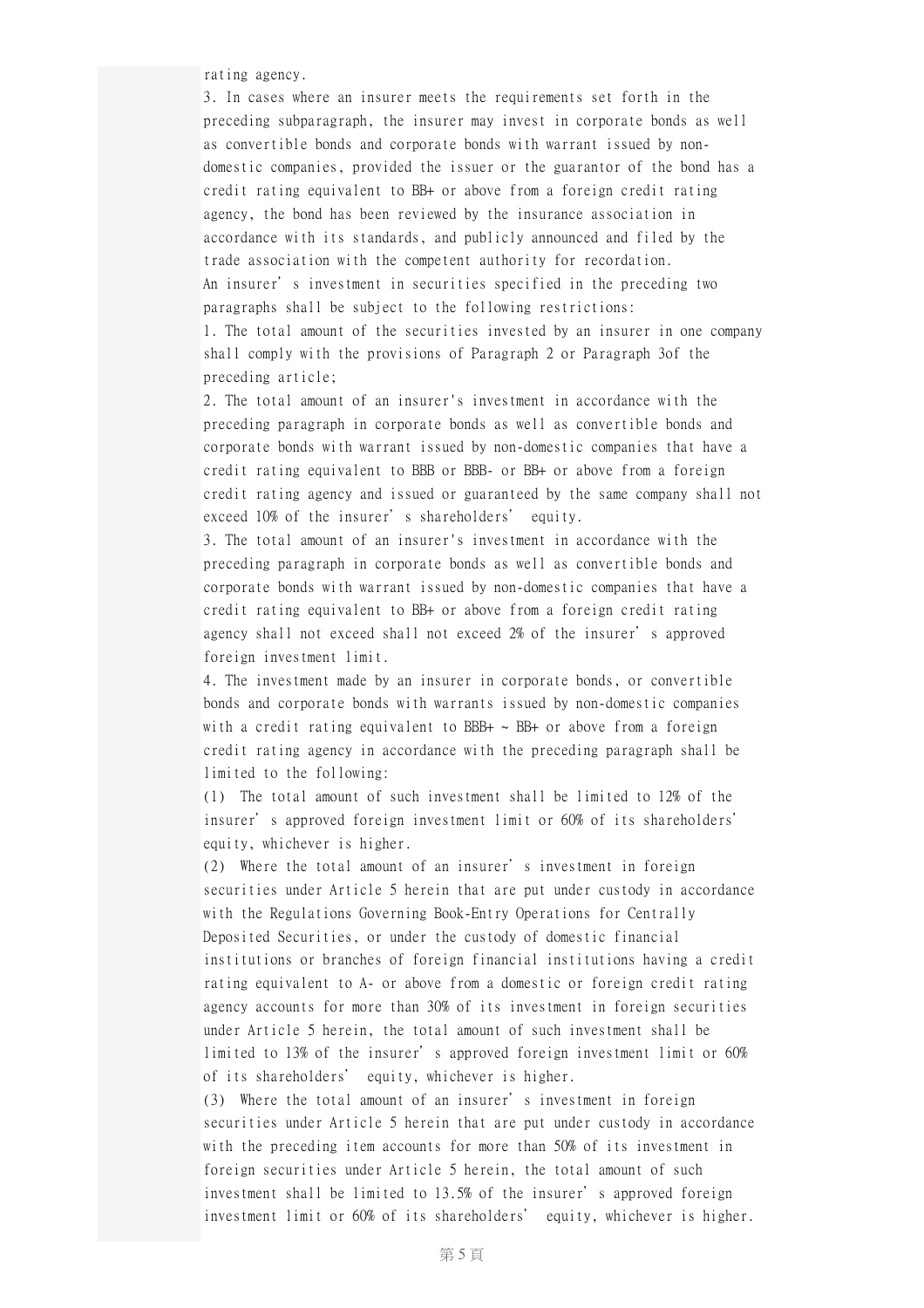rating agency.

3. In cases where an insurer meets the requirements set forth in the preceding subparagraph, the insurer may invest in corporate bonds as well as convertible bonds and corporate bonds with warrant issued by nondomestic companies, provided the issuer or the guarantor of the bond has a credit rating equivalent to BB+ or above from a foreign credit rating agency, the bond has been reviewed by the insurance association in accordance with its standards, and publicly announced and filed by the trade association with the competent authority for recordation. An insurer's investment in securities specified in the preceding two paragraphs shall be subject to the following restrictions: 1. The total amount of the securities invested by an insurer in one company shall comply with the provisions of Paragraph 2 or Paragraph 3of the preceding article;

2. The total amount of an insurer's investment in accordance with the preceding paragraph in corporate bonds as well as convertible bonds and corporate bonds with warrant issued by non-domestic companies that have a credit rating equivalent to BBB or BBB- or BB+ or above from a foreign credit rating agency and issued or guaranteed by the same company shall not exceed 10% of the insurer's shareholders' equity.

3. The total amount of an insurer's investment in accordance with the preceding paragraph in corporate bonds as well as convertible bonds and corporate bonds with warrant issued by non-domestic companies that have a credit rating equivalent to BB+ or above from a foreign credit rating agency shall not exceed shall not exceed 2% of the insurer's approved foreign investment limit.

4. The investment made by an insurer in corporate bonds, or convertible bonds and corporate bonds with warrants issued by non-domestic companies with a credit rating equivalent to BBB+  $\sim$  BB+ or above from a foreign credit rating agency in accordance with the preceding paragraph shall be limited to the following:

(1) The total amount of such investment shall be limited to 12% of the insurer's approved foreign investment limit or 60% of its shareholders' equity, whichever is higher.

(2) Where the total amount of an insurer's investment in foreign securities under Article 5 herein that are put under custody in accordance with the Regulations Governing Book-Entry Operations for Centrally Deposited Securities, or under the custody of domestic financial institutions or branches of foreign financial institutions having a credit rating equivalent to A- or above from a domestic or foreign credit rating agency accounts for more than 30% of its investment in foreign securities under Article 5 herein, the total amount of such investment shall be limited to 13% of the insurer's approved foreign investment limit or 60% of its shareholders' equity, whichever is higher.

(3) Where the total amount of an insurer's investment in foreign securities under Article 5 herein that are put under custody in accordance with the preceding item accounts for more than 50% of its investment in foreign securities under Article 5 herein, the total amount of such investment shall be limited to 13.5% of the insurer's approved foreign investment limit or 60% of its shareholders' equity, whichever is higher.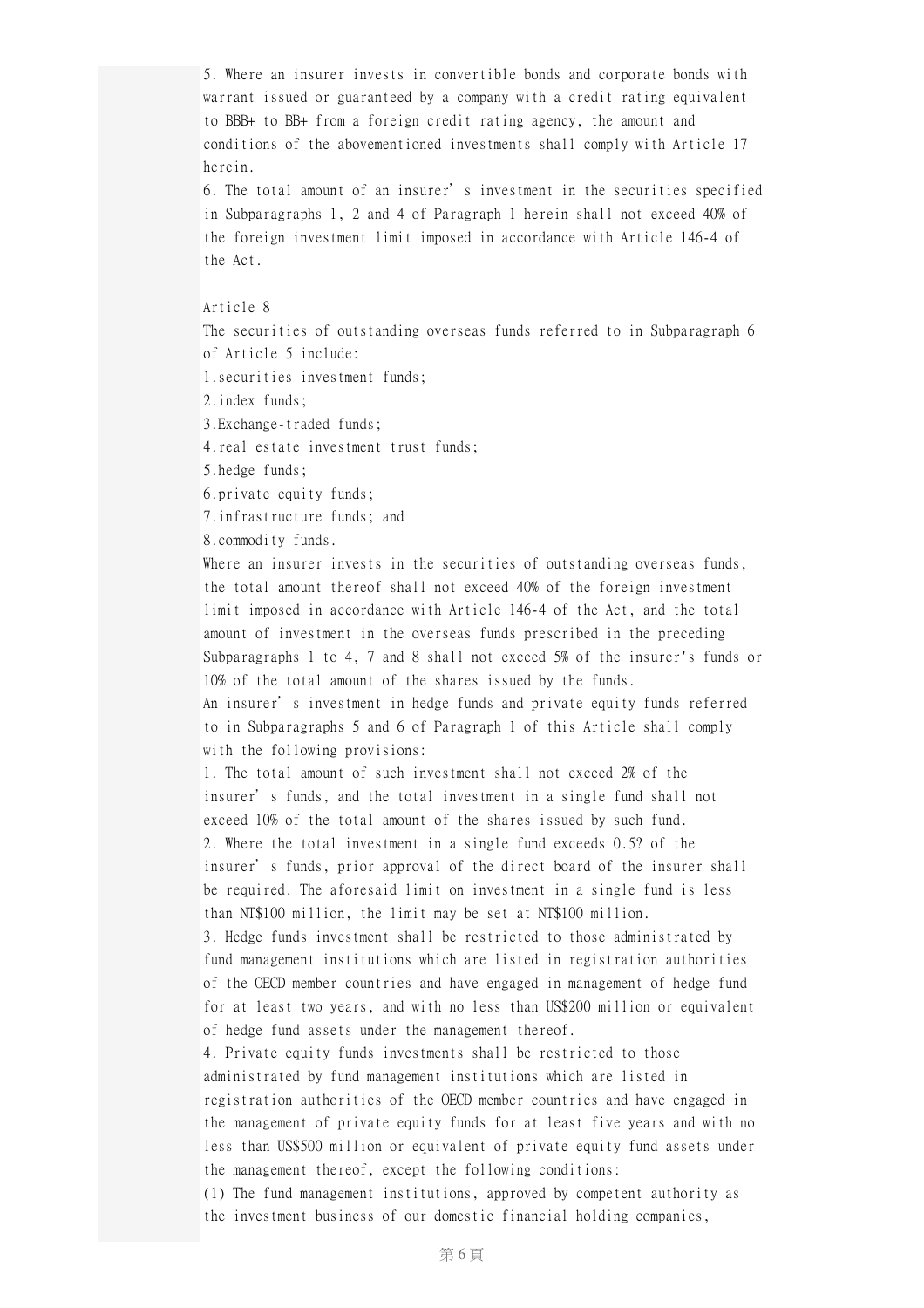5. Where an insurer invests in convertible bonds and corporate bonds with warrant issued or guaranteed by a company with a credit rating equivalent to BBB+ to BB+ from a foreign credit rating agency, the amount and conditions of the abovementioned investments shall comply with Article 17 herein.

6. The total amount of an insurer's investment in the securities specified in Subparagraphs 1, 2 and 4 of Paragraph 1 herein shall not exceed 40% of the foreign investment limit imposed in accordance with Article 146-4 of the Act.

## Article 8

The securities of outstanding overseas funds referred to in Subparagraph 6 of Article 5 include:

1.securities investment funds;

2.index funds;

3.Exchange-traded funds;

4.real estate investment trust funds;

5.hedge funds;

6.private equity funds;

7.infrastructure funds; and

8.commodity funds.

Where an insurer invests in the securities of outstanding overseas funds, the total amount thereof shall not exceed 40% of the foreign investment limit imposed in accordance with Article 146-4 of the Act, and the total amount of investment in the overseas funds prescribed in the preceding Subparagraphs 1 to 4, 7 and 8 shall not exceed 5% of the insurer's funds or 10% of the total amount of the shares issued by the funds.

An insurer's investment in hedge funds and private equity funds referred to in Subparagraphs 5 and 6 of Paragraph 1 of this Article shall comply with the following provisions:

1. The total amount of such investment shall not exceed 2% of the insurer's funds, and the total investment in a single fund shall not exceed 10% of the total amount of the shares issued by such fund. 2. Where the total investment in a single fund exceeds 0.5? of the insurer's funds, prior approval of the direct board of the insurer shall be required. The aforesaid limit on investment in a single fund is less than NT\$100 million, the limit may be set at NT\$100 million.

3. Hedge funds investment shall be restricted to those administrated by fund management institutions which are listed in registration authorities of the OECD member countries and have engaged in management of hedge fund for at least two years, and with no less than US\$200 million or equivalent of hedge fund assets under the management thereof.

4. Private equity funds investments shall be restricted to those administrated by fund management institutions which are listed in registration authorities of the OECD member countries and have engaged in the management of private equity funds for at least five years and with no less than US\$500 million or equivalent of private equity fund assets under the management thereof, except the following conditions:

(1) The fund management institutions, approved by competent authority as the investment business of our domestic financial holding companies,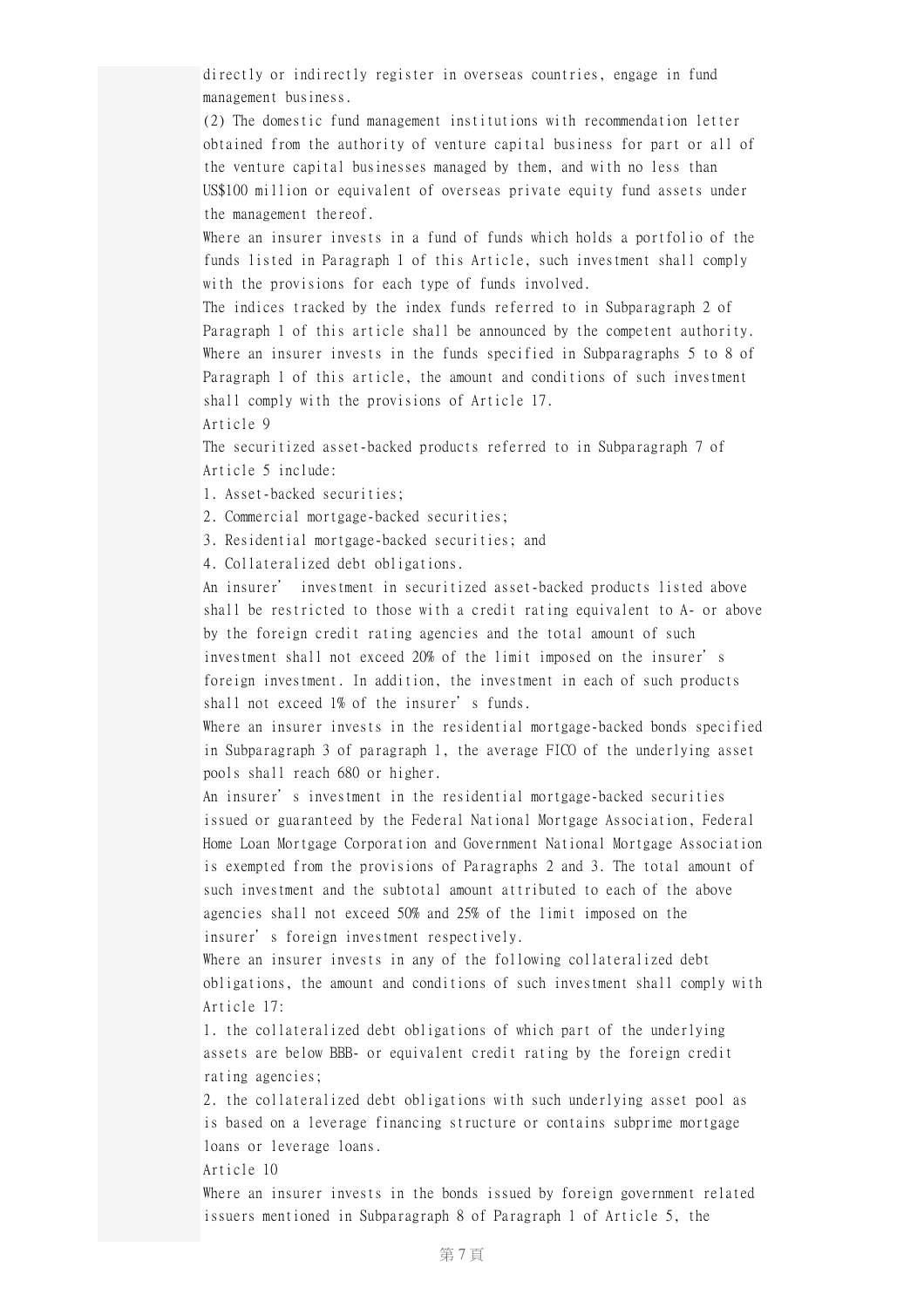directly or indirectly register in overseas countries, engage in fund management business.

(2) The domestic fund management institutions with recommendation letter obtained from the authority of venture capital business for part or all of the venture capital businesses managed by them, and with no less than US\$100 million or equivalent of overseas private equity fund assets under the management thereof.

Where an insurer invests in a fund of funds which holds a portfolio of the funds listed in Paragraph 1 of this Article, such investment shall comply with the provisions for each type of funds involved.

The indices tracked by the index funds referred to in Subparagraph 2 of Paragraph 1 of this article shall be announced by the competent authority. Where an insurer invests in the funds specified in Subparagraphs 5 to 8 of Paragraph 1 of this article, the amount and conditions of such investment shall comply with the provisions of Article 17.

Article 9

The securitized asset-backed products referred to in Subparagraph 7 of Article 5 include:

1. Asset-backed securities;

2. Commercial mortgage-backed securities;

3. Residential mortgage-backed securities; and

4. Collateralized debt obligations.

An insurer' investment in securitized asset-backed products listed above shall be restricted to those with a credit rating equivalent to A- or above by the foreign credit rating agencies and the total amount of such investment shall not exceed 20% of the limit imposed on the insurer's foreign investment. In addition, the investment in each of such products shall not exceed 1% of the insurer's funds.

Where an insurer invests in the residential mortgage-backed bonds specified in Subparagraph 3 of paragraph 1, the average FICO of the underlying asset pools shall reach 680 or higher.

An insurer's investment in the residential mortgage-backed securities issued or guaranteed by the Federal National Mortgage Association, Federal Home Loan Mortgage Corporation and Government National Mortgage Association is exempted from the provisions of Paragraphs 2 and 3. The total amount of such investment and the subtotal amount attributed to each of the above agencies shall not exceed 50% and 25% of the limit imposed on the insurer's foreign investment respectively.

Where an insurer invests in any of the following collateralized debt obligations, the amount and conditions of such investment shall comply with Article 17:

1. the collateralized debt obligations of which part of the underlying assets are below BBB- or equivalent credit rating by the foreign credit rating agencies;

2. the collateralized debt obligations with such underlying asset pool as is based on a leverage financing structure or contains subprime mortgage loans or leverage loans.

Article 10

Where an insurer invests in the bonds issued by foreign government related issuers mentioned in Subparagraph 8 of Paragraph 1 of Article 5, the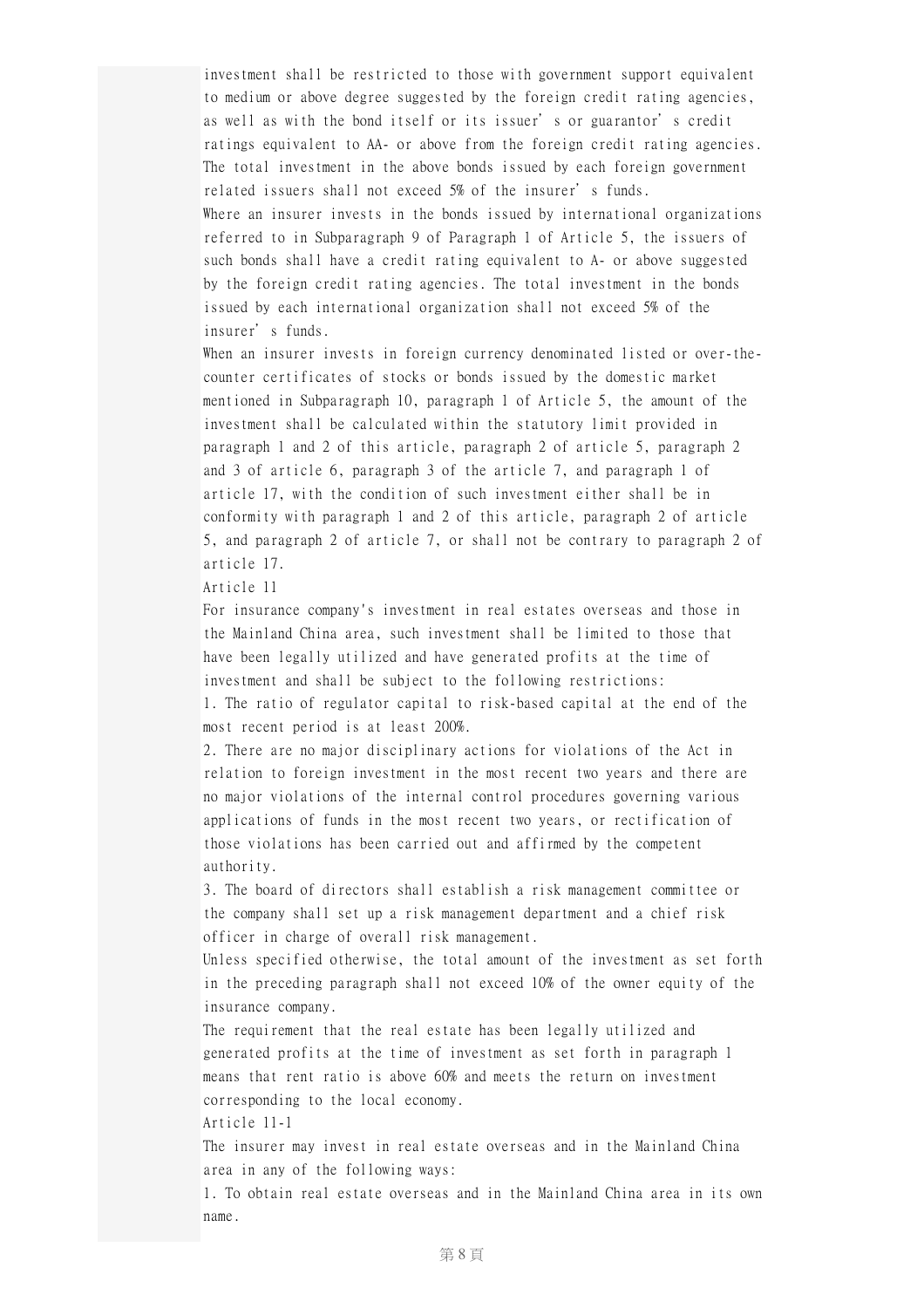investment shall be restricted to those with government support equivalent to medium or above degree suggested by the foreign credit rating agencies, as well as with the bond itself or its issuer's or guarantor's credit ratings equivalent to AA- or above from the foreign credit rating agencies. The total investment in the above bonds issued by each foreign government related issuers shall not exceed 5% of the insurer's funds. Where an insurer invests in the bonds issued by international organizations referred to in Subparagraph 9 of Paragraph 1 of Article 5, the issuers of such bonds shall have a credit rating equivalent to A- or above suggested by the foreign credit rating agencies. The total investment in the bonds issued by each international organization shall not exceed 5% of the insurer's funds.

When an insurer invests in foreign currency denominated listed or over-thecounter certificates of stocks or bonds issued by the domestic market mentioned in Subparagraph 10, paragraph 1 of Article 5, the amount of the investment shall be calculated within the statutory limit provided in paragraph 1 and 2 of this article, paragraph 2 of article 5, paragraph 2 and 3 of article 6, paragraph 3 of the article 7, and paragraph 1 of article 17, with the condition of such investment either shall be in conformity with paragraph 1 and 2 of this article, paragraph 2 of article 5, and paragraph 2 of article 7, or shall not be contrary to paragraph 2 of article 17.

Article 11

For insurance company's investment in real estates overseas and those in the Mainland China area, such investment shall be limited to those that have been legally utilized and have generated profits at the time of investment and shall be subject to the following restrictions: 1. The ratio of regulator capital to risk-based capital at the end of the

most recent period is at least 200%.

2. There are no major disciplinary actions for violations of the Act in relation to foreign investment in the most recent two years and there are no major violations of the internal control procedures governing various applications of funds in the most recent two years, or rectification of those violations has been carried out and affirmed by the competent authority.

3. The board of directors shall establish a risk management committee or the company shall set up a risk management department and a chief risk officer in charge of overall risk management.

Unless specified otherwise, the total amount of the investment as set forth in the preceding paragraph shall not exceed 10% of the owner equity of the insurance company.

The requirement that the real estate has been legally utilized and generated profits at the time of investment as set forth in paragraph 1 means that rent ratio is above 60% and meets the return on investment corresponding to the local economy.

Article 11-1

The insurer may invest in real estate overseas and in the Mainland China area in any of the following ways:

1. To obtain real estate overseas and in the Mainland China area in its own name.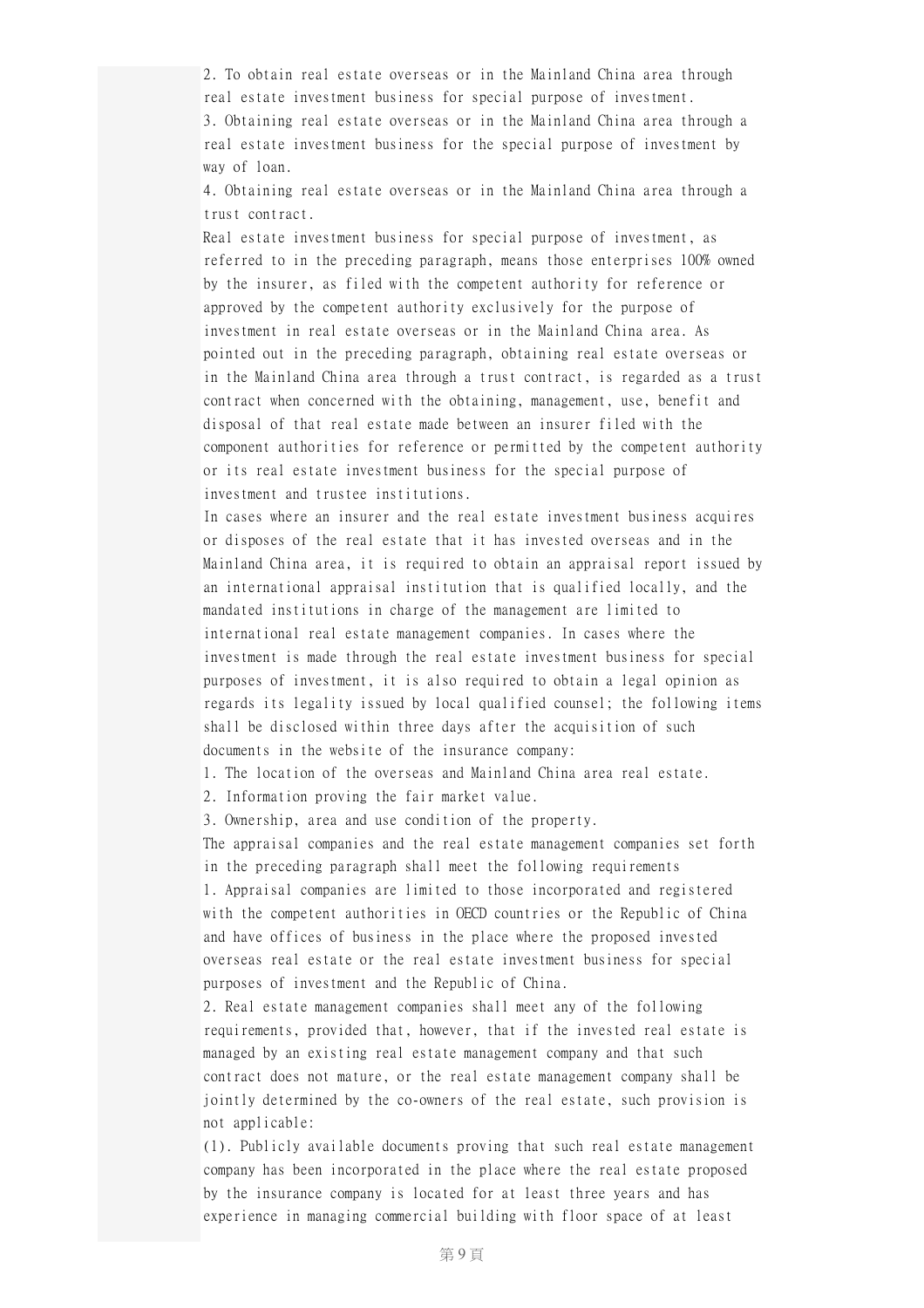2. To obtain real estate overseas or in the Mainland China area through real estate investment business for special purpose of investment. 3. Obtaining real estate overseas or in the Mainland China area through a real estate investment business for the special purpose of investment by way of loan.

4. Obtaining real estate overseas or in the Mainland China area through a trust contract.

Real estate investment business for special purpose of investment, as referred to in the preceding paragraph, means those enterprises 100% owned by the insurer, as filed with the competent authority for reference or approved by the competent authority exclusively for the purpose of investment in real estate overseas or in the Mainland China area. As pointed out in the preceding paragraph, obtaining real estate overseas or in the Mainland China area through a trust contract, is regarded as a trust contract when concerned with the obtaining, management, use, benefit and disposal of that real estate made between an insurer filed with the component authorities for reference or permitted by the competent authority or its real estate investment business for the special purpose of investment and trustee institutions.

In cases where an insurer and the real estate investment business acquires or disposes of the real estate that it has invested overseas and in the Mainland China area, it is required to obtain an appraisal report issued by an international appraisal institution that is qualified locally, and the mandated institutions in charge of the management are limited to international real estate management companies. In cases where the investment is made through the real estate investment business for special purposes of investment, it is also required to obtain a legal opinion as regards its legality issued by local qualified counsel; the following items shall be disclosed within three days after the acquisition of such documents in the website of the insurance company:

1. The location of the overseas and Mainland China area real estate.

2. Information proving the fair market value.

3. Ownership, area and use condition of the property.

The appraisal companies and the real estate management companies set forth in the preceding paragraph shall meet the following requirements 1. Appraisal companies are limited to those incorporated and registered with the competent authorities in OECD countries or the Republic of China and have offices of business in the place where the proposed invested overseas real estate or the real estate investment business for special purposes of investment and the Republic of China.

2. Real estate management companies shall meet any of the following requirements, provided that, however, that if the invested real estate is managed by an existing real estate management company and that such contract does not mature, or the real estate management company shall be jointly determined by the co-owners of the real estate, such provision is not applicable:

(1). Publicly available documents proving that such real estate management company has been incorporated in the place where the real estate proposed by the insurance company is located for at least three years and has experience in managing commercial building with floor space of at least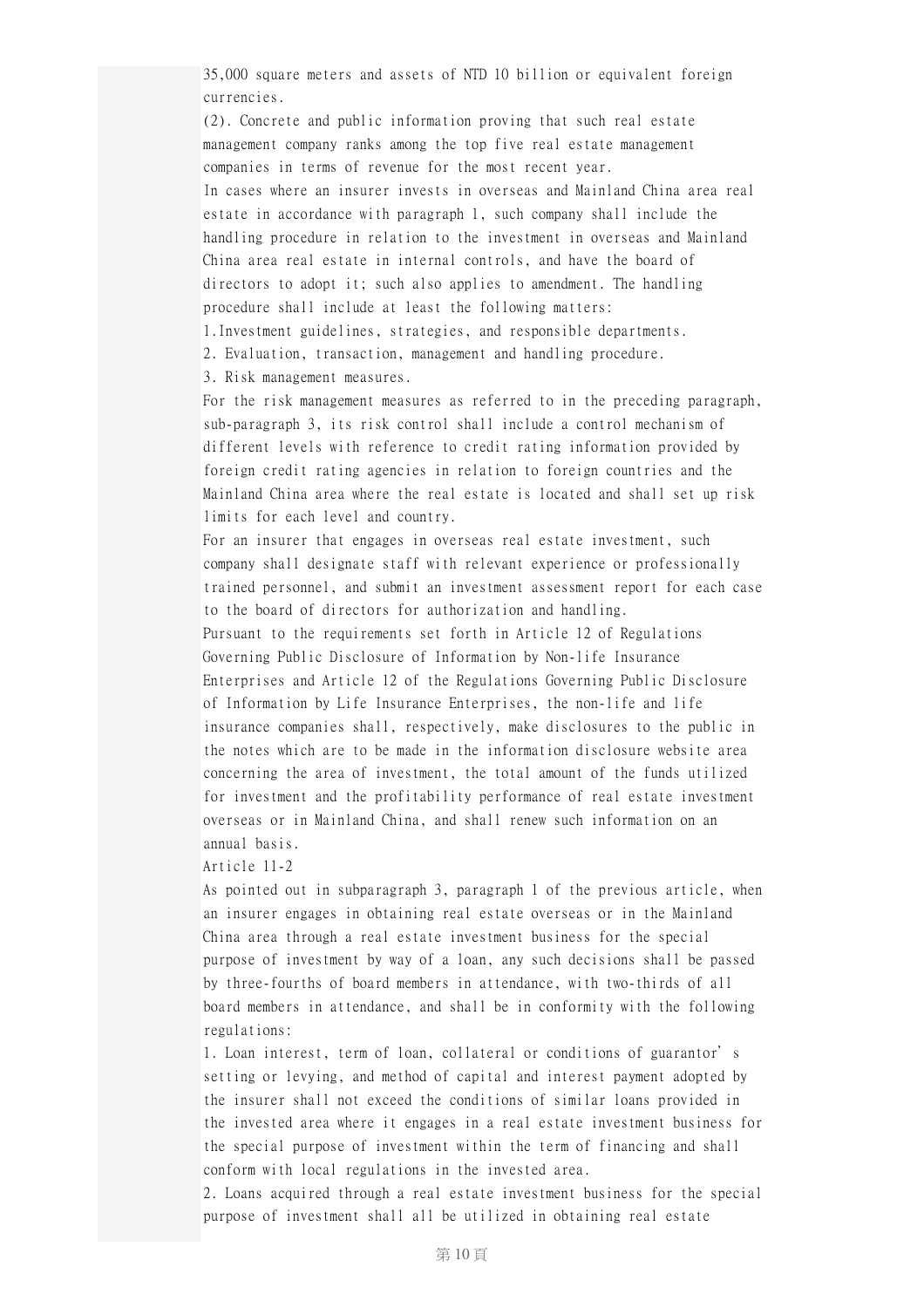35,000 square meters and assets of NTD 10 billion or equivalent foreign currencies.

(2). Concrete and public information proving that such real estate management company ranks among the top five real estate management companies in terms of revenue for the most recent year. In cases where an insurer invests in overseas and Mainland China area real estate in accordance with paragraph 1, such company shall include the handling procedure in relation to the investment in overseas and Mainland China area real estate in internal controls, and have the board of directors to adopt it; such also applies to amendment. The handling procedure shall include at least the following matters:

1.Investment guidelines, strategies, and responsible departments.

2. Evaluation, transaction, management and handling procedure.

3. Risk management measures.

For the risk management measures as referred to in the preceding paragraph, sub-paragraph 3, its risk control shall include a control mechanism of different levels with reference to credit rating information provided by foreign credit rating agencies in relation to foreign countries and the Mainland China area where the real estate is located and shall set up risk limits for each level and country.

For an insurer that engages in overseas real estate investment, such company shall designate staff with relevant experience or professionally trained personnel, and submit an investment assessment report for each case to the board of directors for authorization and handling. Pursuant to the requirements set forth in Article 12 of Regulations Governing Public Disclosure of Information by Non-life Insurance Enterprises and Article 12 of the Regulations Governing Public Disclosure of Information by Life Insurance Enterprises, the non-life and life insurance companies shall, respectively, make disclosures to the public in the notes which are to be made in the information disclosure website area concerning the area of investment, the total amount of the funds utilized for investment and the profitability performance of real estate investment overseas or in Mainland China, and shall renew such information on an annual basis.

Article 11-2

As pointed out in subparagraph 3, paragraph 1 of the previous article, when an insurer engages in obtaining real estate overseas or in the Mainland China area through a real estate investment business for the special purpose of investment by way of a loan, any such decisions shall be passed by three-fourths of board members in attendance, with two-thirds of all board members in attendance, and shall be in conformity with the following regulations:

1. Loan interest, term of loan, collateral or conditions of guarantor's setting or levying, and method of capital and interest payment adopted by the insurer shall not exceed the conditions of similar loans provided in the invested area where it engages in a real estate investment business for the special purpose of investment within the term of financing and shall conform with local regulations in the invested area.

2. Loans acquired through a real estate investment business for the special purpose of investment shall all be utilized in obtaining real estate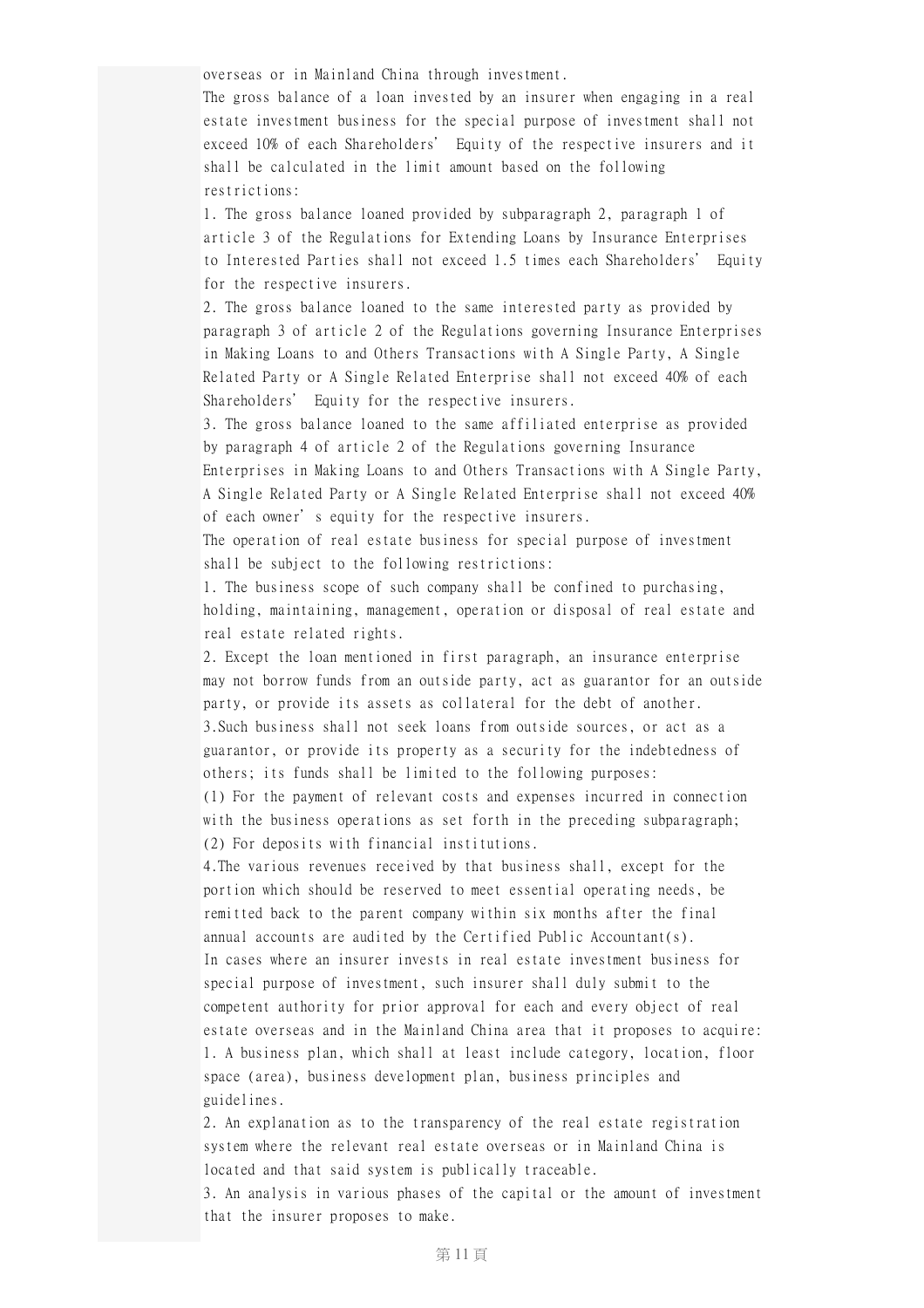overseas or in Mainland China through investment.

The gross balance of a loan invested by an insurer when engaging in a real estate investment business for the special purpose of investment shall not exceed 10% of each Shareholders' Equity of the respective insurers and it shall be calculated in the limit amount based on the following restrictions:

1. The gross balance loaned provided by subparagraph 2, paragraph 1 of article 3 of the Regulations for Extending Loans by Insurance Enterprises to Interested Parties shall not exceed 1.5 times each Shareholders' Equity for the respective insurers.

2. The gross balance loaned to the same interested party as provided by paragraph 3 of article 2 of the Regulations governing Insurance Enterprises in Making Loans to and Others Transactions with A Single Party, A Single Related Party or A Single Related Enterprise shall not exceed 40% of each Shareholders' Equity for the respective insurers.

3. The gross balance loaned to the same affiliated enterprise as provided by paragraph 4 of article 2 of the Regulations governing Insurance Enterprises in Making Loans to and Others Transactions with A Single Party, A Single Related Party or A Single Related Enterprise shall not exceed 40% of each owner's equity for the respective insurers.

The operation of real estate business for special purpose of investment shall be subject to the following restrictions:

1. The business scope of such company shall be confined to purchasing, holding, maintaining, management, operation or disposal of real estate and real estate related rights.

2. Except the loan mentioned in first paragraph, an insurance enterprise may not borrow funds from an outside party, act as guarantor for an outside party, or provide its assets as collateral for the debt of another. 3.Such business shall not seek loans from outside sources, or act as a guarantor, or provide its property as a security for the indebtedness of others; its funds shall be limited to the following purposes: (1) For the payment of relevant costs and expenses incurred in connection with the business operations as set forth in the preceding subparagraph; (2) For deposits with financial institutions.

4.The various revenues received by that business shall, except for the portion which should be reserved to meet essential operating needs, be remitted back to the parent company within six months after the final annual accounts are audited by the Certified Public Accountant(s). In cases where an insurer invests in real estate investment business for special purpose of investment, such insurer shall duly submit to the competent authority for prior approval for each and every object of real estate overseas and in the Mainland China area that it proposes to acquire: 1. A business plan, which shall at least include category, location, floor space (area), business development plan, business principles and guidelines.

2. An explanation as to the transparency of the real estate registration system where the relevant real estate overseas or in Mainland China is located and that said system is publically traceable.

3. An analysis in various phases of the capital or the amount of investment that the insurer proposes to make.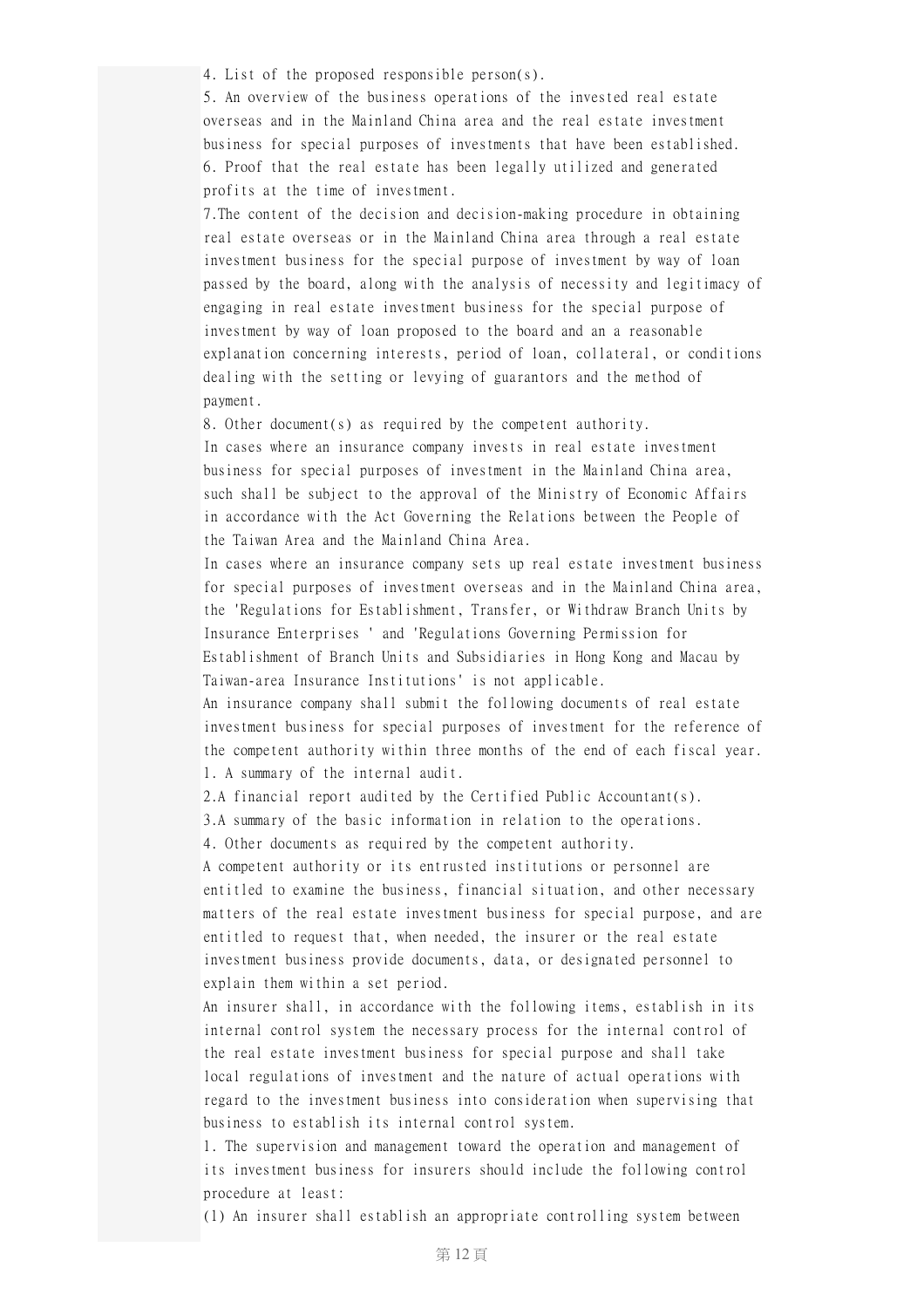4. List of the proposed responsible person(s).

5. An overview of the business operations of the invested real estate overseas and in the Mainland China area and the real estate investment business for special purposes of investments that have been established. 6. Proof that the real estate has been legally utilized and generated profits at the time of investment.

7.The content of the decision and decision-making procedure in obtaining real estate overseas or in the Mainland China area through a real estate investment business for the special purpose of investment by way of loan passed by the board, along with the analysis of necessity and legitimacy of engaging in real estate investment business for the special purpose of investment by way of loan proposed to the board and an a reasonable explanation concerning interests, period of loan, collateral, or conditions dealing with the setting or levying of guarantors and the method of payment.

8. Other document(s) as required by the competent authority.

In cases where an insurance company invests in real estate investment business for special purposes of investment in the Mainland China area, such shall be subject to the approval of the Ministry of Economic Affairs in accordance with the Act Governing the Relations between the People of the Taiwan Area and the Mainland China Area.

In cases where an insurance company sets up real estate investment business for special purposes of investment overseas and in the Mainland China area, the 'Regulations for Establishment, Transfer, or Withdraw Branch Units by Insurance Enterprises ' and 'Regulations Governing Permission for Establishment of Branch Units and Subsidiaries in Hong Kong and Macau by Taiwan-area Insurance Institutions' is not applicable.

An insurance company shall submit the following documents of real estate investment business for special purposes of investment for the reference of the competent authority within three months of the end of each fiscal year. 1. A summary of the internal audit.

2.A financial report audited by the Certified Public Accountant(s).

3.A summary of the basic information in relation to the operations.

4. Other documents as required by the competent authority.

A competent authority or its entrusted institutions or personnel are entitled to examine the business, financial situation, and other necessary matters of the real estate investment business for special purpose, and are entitled to request that, when needed, the insurer or the real estate investment business provide documents, data, or designated personnel to explain them within a set period.

An insurer shall, in accordance with the following items, establish in its internal control system the necessary process for the internal control of the real estate investment business for special purpose and shall take local regulations of investment and the nature of actual operations with regard to the investment business into consideration when supervising that business to establish its internal control system.

1. The supervision and management toward the operation and management of its investment business for insurers should include the following control procedure at least:

(1) An insurer shall establish an appropriate controlling system between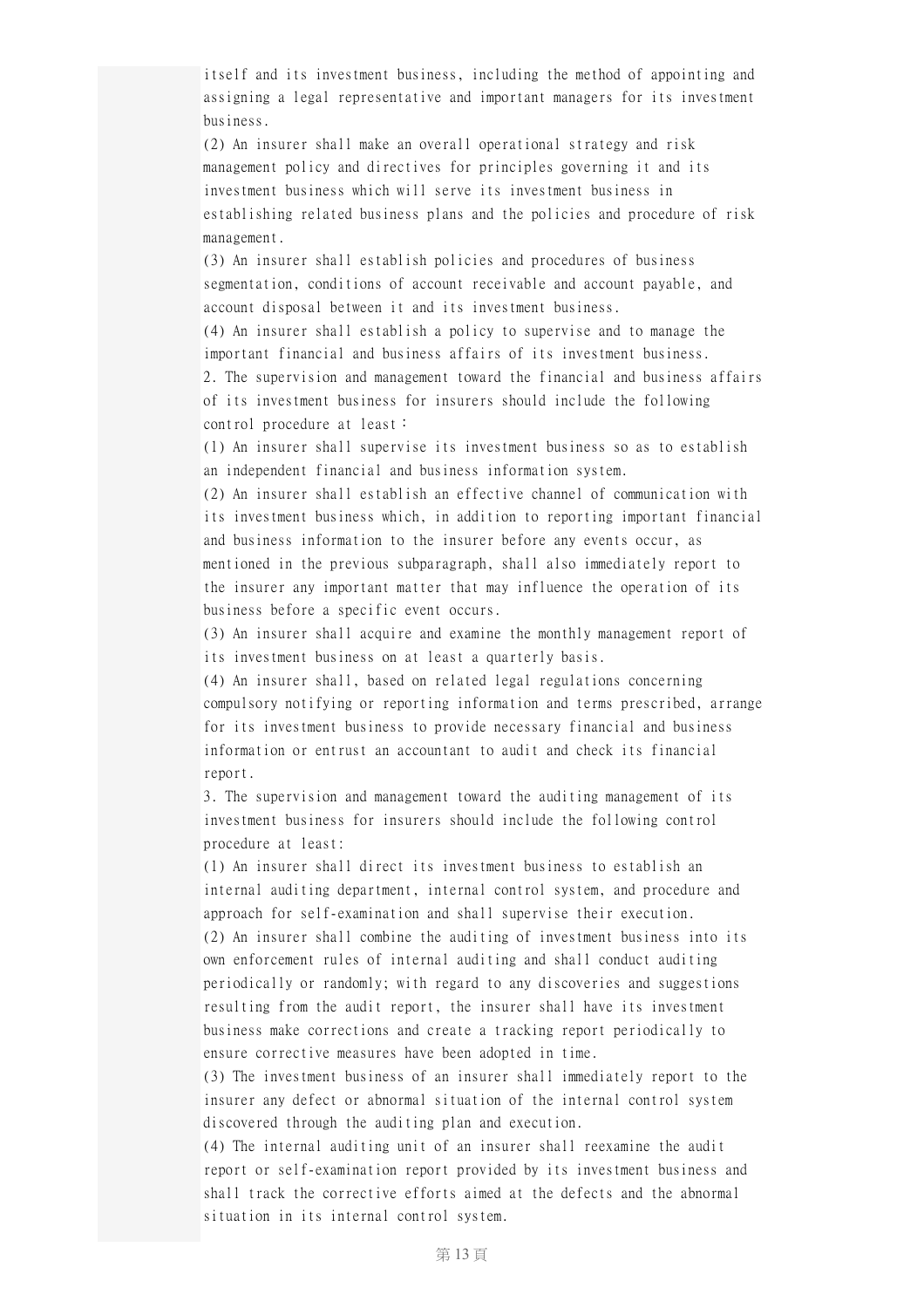itself and its investment business, including the method of appointing and assigning a legal representative and important managers for its investment business.

(2) An insurer shall make an overall operational strategy and risk management policy and directives for principles governing it and its investment business which will serve its investment business in establishing related business plans and the policies and procedure of risk management.

(3) An insurer shall establish policies and procedures of business segmentation, conditions of account receivable and account payable, and account disposal between it and its investment business.

(4) An insurer shall establish a policy to supervise and to manage the important financial and business affairs of its investment business. 2. The supervision and management toward the financial and business affairs

of its investment business for insurers should include the following control procedure at least:

(1) An insurer shall supervise its investment business so as to establish an independent financial and business information system.

(2) An insurer shall establish an effective channel of communication with its investment business which, in addition to reporting important financial and business information to the insurer before any events occur, as mentioned in the previous subparagraph, shall also immediately report to the insurer any important matter that may influence the operation of its business before a specific event occurs.

(3) An insurer shall acquire and examine the monthly management report of its investment business on at least a quarterly basis.

(4) An insurer shall, based on related legal regulations concerning compulsory notifying or reporting information and terms prescribed, arrange for its investment business to provide necessary financial and business information or entrust an accountant to audit and check its financial report.

3. The supervision and management toward the auditing management of its investment business for insurers should include the following control procedure at least:

(1) An insurer shall direct its investment business to establish an internal auditing department, internal control system, and procedure and approach for self-examination and shall supervise their execution.

(2) An insurer shall combine the auditing of investment business into its own enforcement rules of internal auditing and shall conduct auditing periodically or randomly; with regard to any discoveries and suggestions resulting from the audit report, the insurer shall have its investment business make corrections and create a tracking report periodically to ensure corrective measures have been adopted in time.

(3) The investment business of an insurer shall immediately report to the insurer any defect or abnormal situation of the internal control system discovered through the auditing plan and execution.

(4) The internal auditing unit of an insurer shall reexamine the audit report or self-examination report provided by its investment business and shall track the corrective efforts aimed at the defects and the abnormal situation in its internal control system.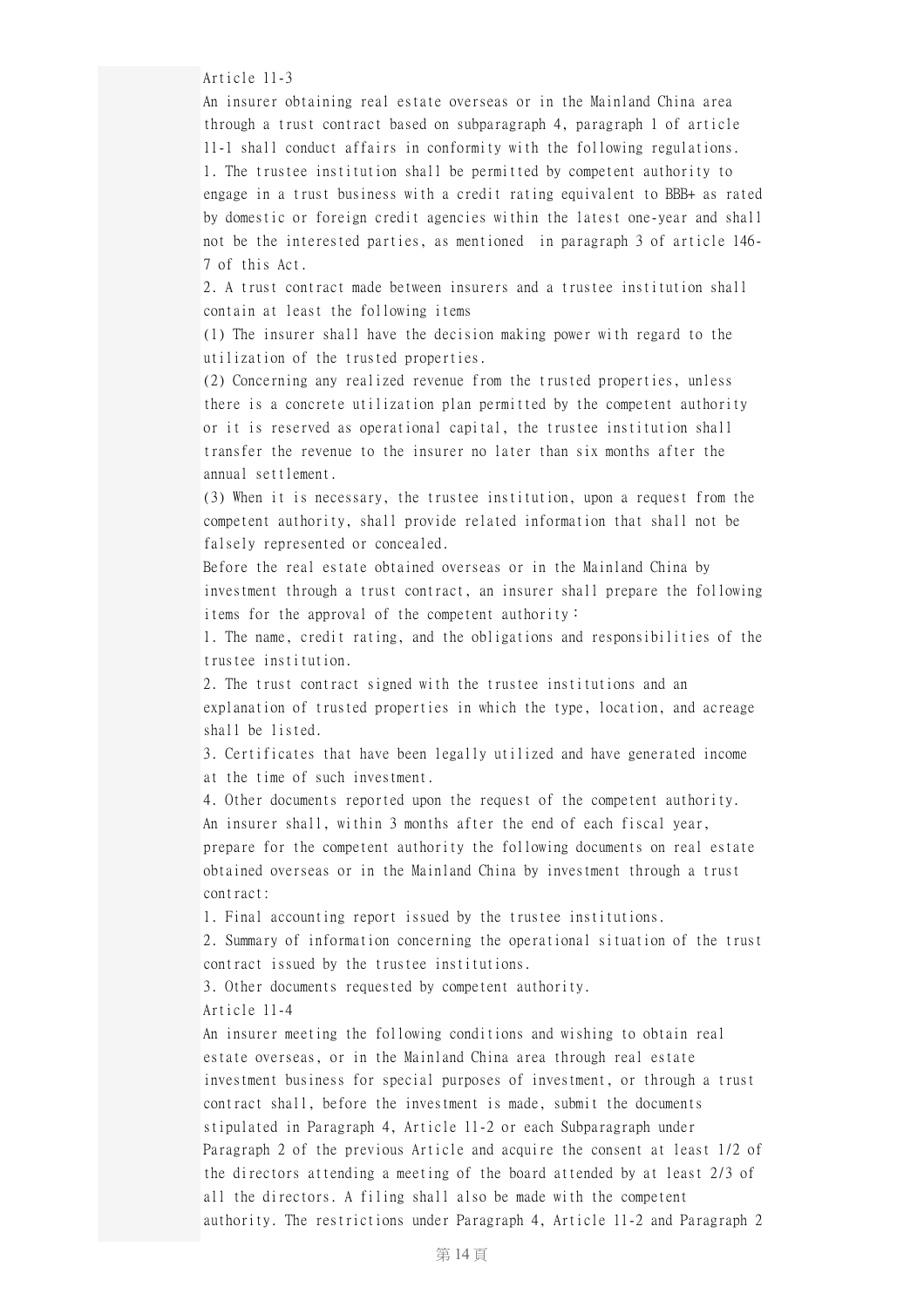Article 11-3

An insurer obtaining real estate overseas or in the Mainland China area through a trust contract based on subparagraph 4, paragraph 1 of article 11-1 shall conduct affairs in conformity with the following regulations. 1. The trustee institution shall be permitted by competent authority to engage in a trust business with a credit rating equivalent to BBB+ as rated by domestic or foreign credit agencies within the latest one-year and shall not be the interested parties, as mentioned in paragraph 3 of article 146- 7 of this Act.

2. A trust contract made between insurers and a trustee institution shall contain at least the following items

(1) The insurer shall have the decision making power with regard to the utilization of the trusted properties.

(2) Concerning any realized revenue from the trusted properties, unless there is a concrete utilization plan permitted by the competent authority or it is reserved as operational capital, the trustee institution shall transfer the revenue to the insurer no later than six months after the annual settlement.

(3) When it is necessary, the trustee institution, upon a request from the competent authority, shall provide related information that shall not be falsely represented or concealed.

Before the real estate obtained overseas or in the Mainland China by investment through a trust contract, an insurer shall prepare the following items for the approval of the competent authority:

1. The name, credit rating, and the obligations and responsibilities of the trustee institution.

2. The trust contract signed with the trustee institutions and an explanation of trusted properties in which the type, location, and acreage shall be listed.

3. Certificates that have been legally utilized and have generated income at the time of such investment.

4. Other documents reported upon the request of the competent authority. An insurer shall, within 3 months after the end of each fiscal year, prepare for the competent authority the following documents on real estate obtained overseas or in the Mainland China by investment through a trust contract:

1. Final accounting report issued by the trustee institutions.

2. Summary of information concerning the operational situation of the trust contract issued by the trustee institutions.

3. Other documents requested by competent authority. Article 11-4

An insurer meeting the following conditions and wishing to obtain real estate overseas, or in the Mainland China area through real estate investment business for special purposes of investment, or through a trust contract shall, before the investment is made, submit the documents stipulated in Paragraph 4, Article 11-2 or each Subparagraph under Paragraph 2 of the previous Article and acquire the consent at least 1/2 of the directors attending a meeting of the board attended by at least 2/3 of all the directors. A filing shall also be made with the competent authority. The restrictions under Paragraph 4, Article 11-2 and Paragraph 2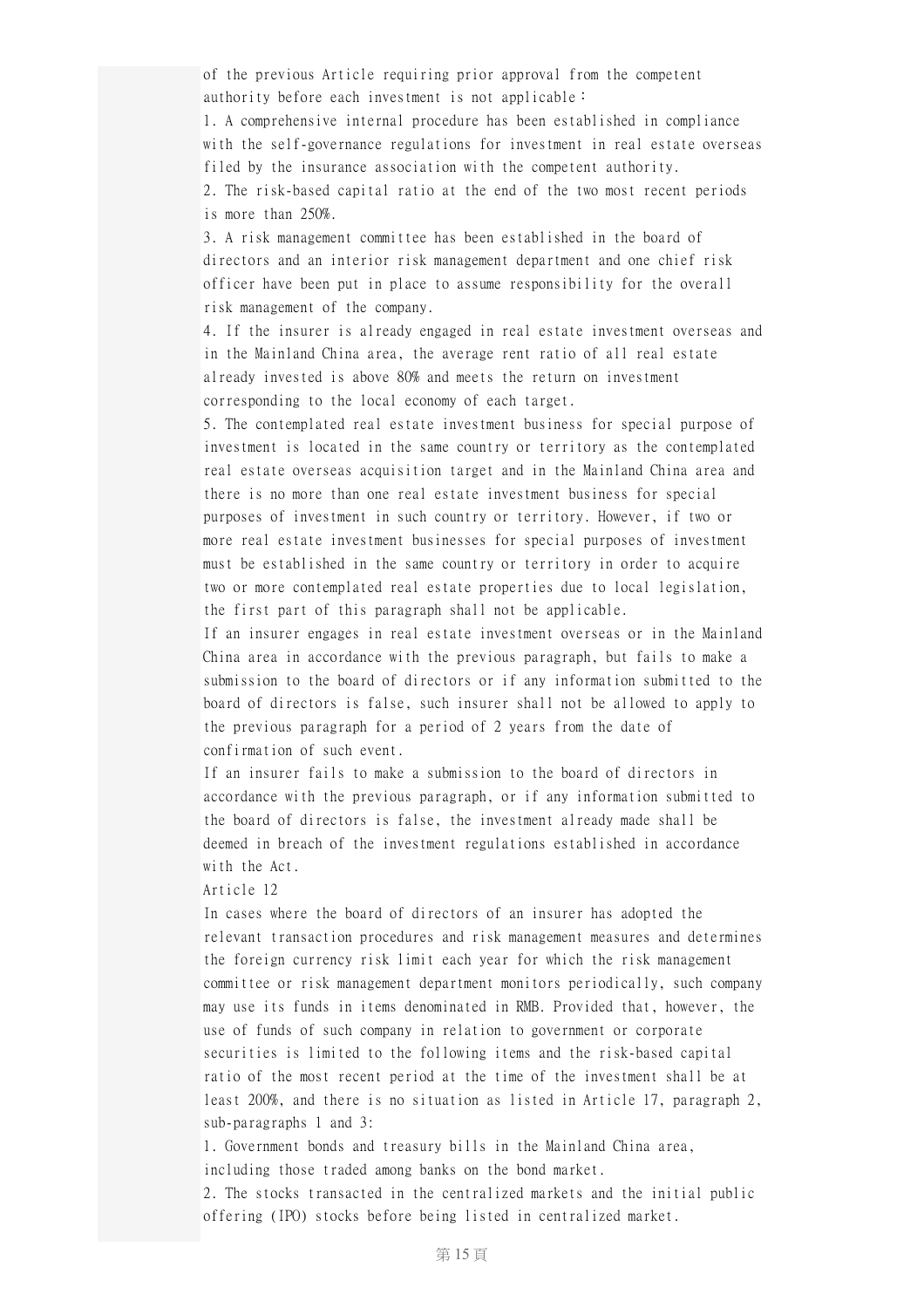of the previous Article requiring prior approval from the competent authority before each investment is not applicable:

1. A comprehensive internal procedure has been established in compliance with the self-governance regulations for investment in real estate overseas filed by the insurance association with the competent authority.

2. The risk-based capital ratio at the end of the two most recent periods is more than 250%.

3. A risk management committee has been established in the board of directors and an interior risk management department and one chief risk officer have been put in place to assume responsibility for the overall risk management of the company.

4. If the insurer is already engaged in real estate investment overseas and in the Mainland China area, the average rent ratio of all real estate already invested is above 80% and meets the return on investment corresponding to the local economy of each target.

5. The contemplated real estate investment business for special purpose of investment is located in the same country or territory as the contemplated real estate overseas acquisition target and in the Mainland China area and there is no more than one real estate investment business for special purposes of investment in such country or territory. However, if two or more real estate investment businesses for special purposes of investment must be established in the same country or territory in order to acquire two or more contemplated real estate properties due to local legislation, the first part of this paragraph shall not be applicable.

If an insurer engages in real estate investment overseas or in the Mainland China area in accordance with the previous paragraph, but fails to make a submission to the board of directors or if any information submitted to the board of directors is false, such insurer shall not be allowed to apply to the previous paragraph for a period of 2 years from the date of confirmation of such event.

If an insurer fails to make a submission to the board of directors in accordance with the previous paragraph, or if any information submitted to the board of directors is false, the investment already made shall be deemed in breach of the investment regulations established in accordance with the Act.

## Article 12

In cases where the board of directors of an insurer has adopted the relevant transaction procedures and risk management measures and determines the foreign currency risk limit each year for which the risk management committee or risk management department monitors periodically, such company may use its funds in items denominated in RMB. Provided that, however, the use of funds of such company in relation to government or corporate securities is limited to the following items and the risk-based capital ratio of the most recent period at the time of the investment shall be at least 200%, and there is no situation as listed in Article 17, paragraph 2, sub-paragraphs 1 and 3:

1. Government bonds and treasury bills in the Mainland China area, including those traded among banks on the bond market.

2. The stocks transacted in the centralized markets and the initial public offering (IPO) stocks before being listed in centralized market.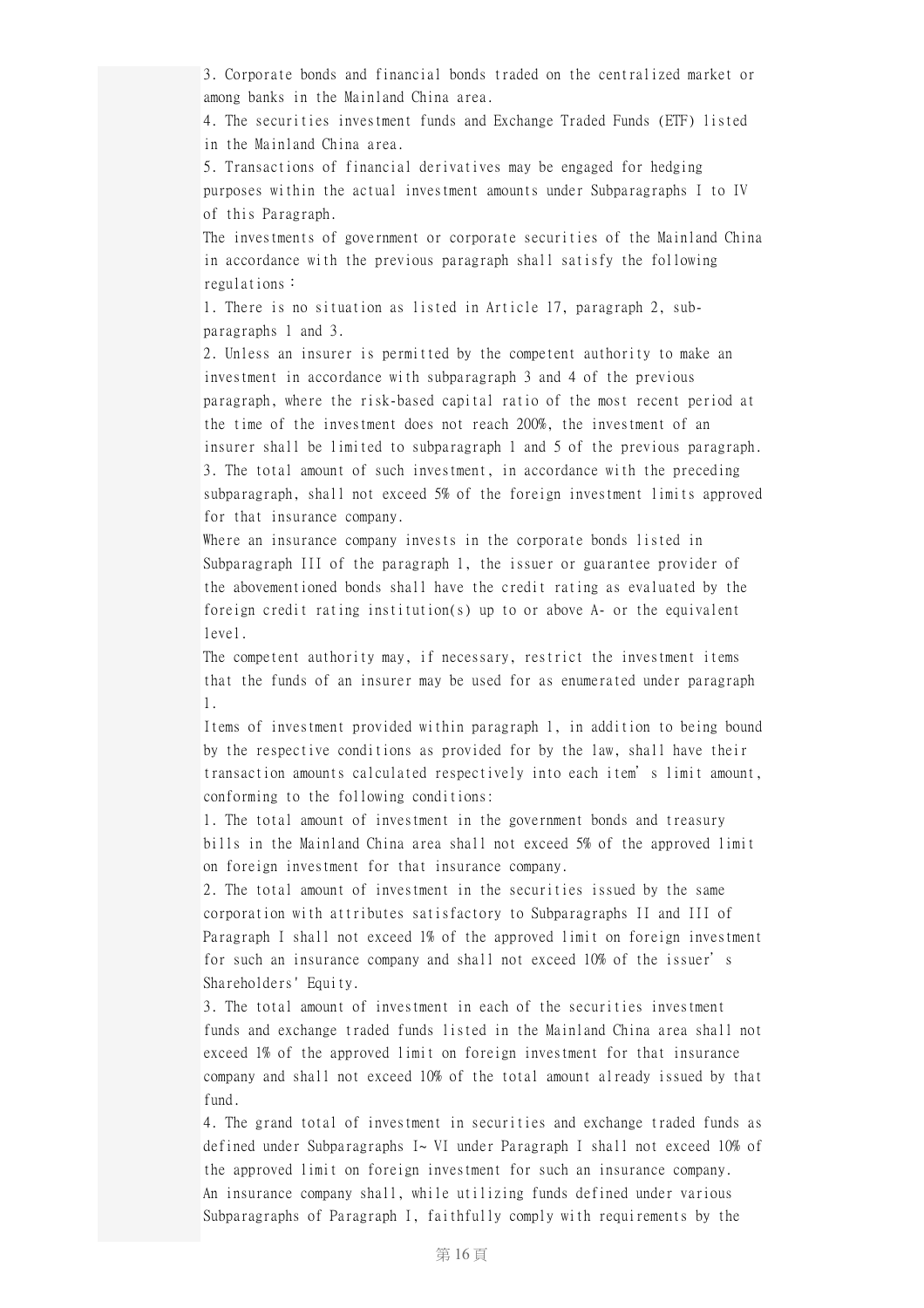3. Corporate bonds and financial bonds traded on the centralized market or among banks in the Mainland China area.

4. The securities investment funds and Exchange Traded Funds (ETF) listed in the Mainland China area.

5. Transactions of financial derivatives may be engaged for hedging purposes within the actual investment amounts under Subparagraphs I to IV of this Paragraph.

The investments of government or corporate securities of the Mainland China in accordance with the previous paragraph shall satisfy the following regulations:

1. There is no situation as listed in Article 17, paragraph 2, subparagraphs 1 and 3.

2. Unless an insurer is permitted by the competent authority to make an investment in accordance with subparagraph 3 and 4 of the previous paragraph, where the risk-based capital ratio of the most recent period at the time of the investment does not reach 200%, the investment of an insurer shall be limited to subparagraph 1 and 5 of the previous paragraph. 3. The total amount of such investment, in accordance with the preceding subparagraph, shall not exceed 5% of the foreign investment limits approved for that insurance company.

Where an insurance company invests in the corporate bonds listed in Subparagraph III of the paragraph 1, the issuer or guarantee provider of the abovementioned bonds shall have the credit rating as evaluated by the foreign credit rating institution(s) up to or above A- or the equivalent level.

The competent authority may, if necessary, restrict the investment items that the funds of an insurer may be used for as enumerated under paragraph 1.

Items of investment provided within paragraph 1, in addition to being bound by the respective conditions as provided for by the law, shall have their transaction amounts calculated respectively into each item's limit amount, conforming to the following conditions:

1. The total amount of investment in the government bonds and treasury bills in the Mainland China area shall not exceed 5% of the approved limit on foreign investment for that insurance company.

2. The total amount of investment in the securities issued by the same corporation with attributes satisfactory to Subparagraphs II and III of Paragraph I shall not exceed 1% of the approved limit on foreign investment for such an insurance company and shall not exceed 10% of the issuer's Shareholders' Equity.

3. The total amount of investment in each of the securities investment funds and exchange traded funds listed in the Mainland China area shall not exceed 1% of the approved limit on foreign investment for that insurance company and shall not exceed 10% of the total amount already issued by that fund.

4. The grand total of investment in securities and exchange traded funds as defined under Subparagraphs I~ VI under Paragraph I shall not exceed 10% of the approved limit on foreign investment for such an insurance company. An insurance company shall, while utilizing funds defined under various Subparagraphs of Paragraph I, faithfully comply with requirements by the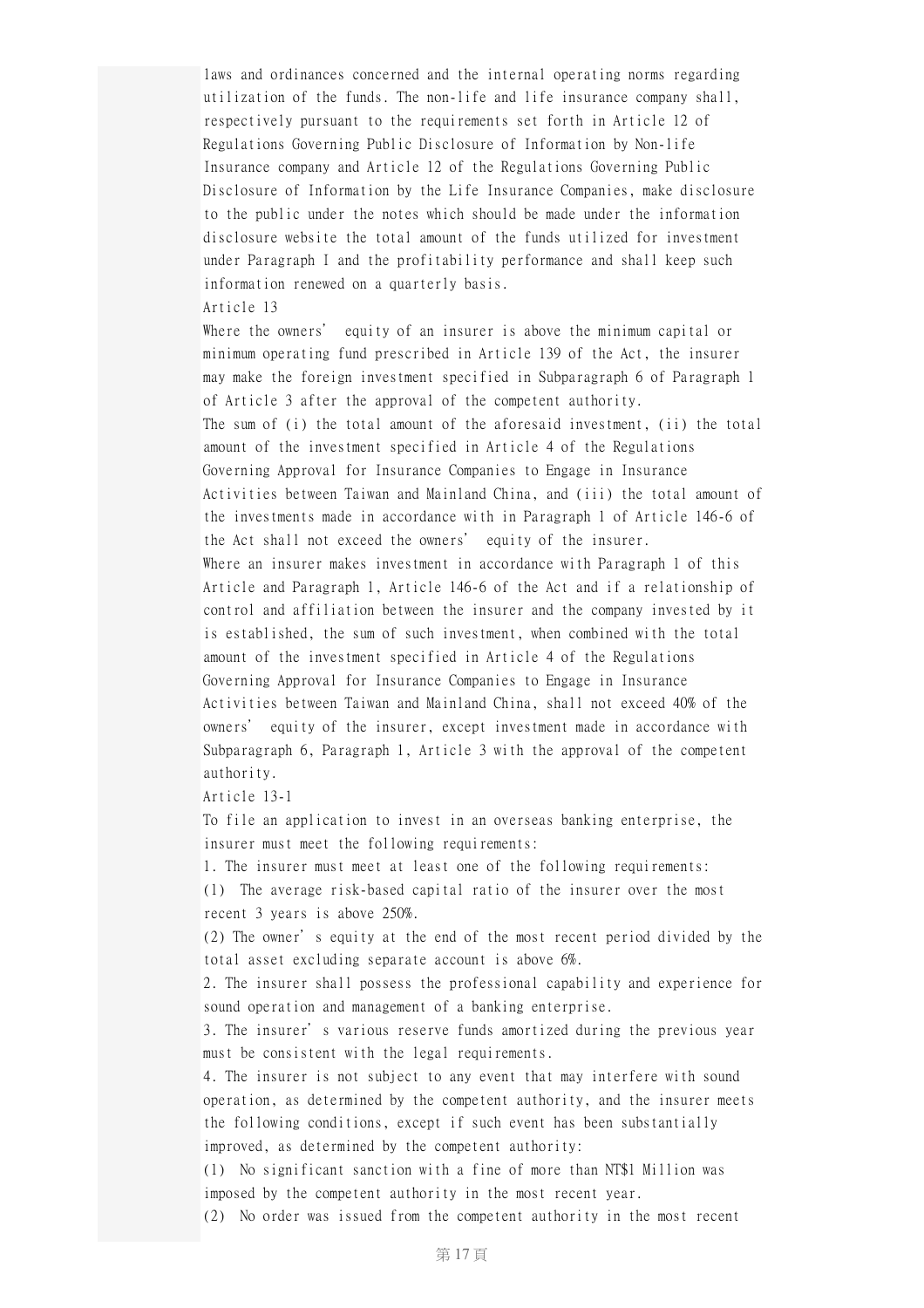laws and ordinances concerned and the internal operating norms regarding utilization of the funds. The non-life and life insurance company shall, respectively pursuant to the requirements set forth in Article 12 of Regulations Governing Public Disclosure of Information by Non-life Insurance company and Article 12 of the Regulations Governing Public Disclosure of Information by the Life Insurance Companies, make disclosure to the public under the notes which should be made under the information disclosure website the total amount of the funds utilized for investment under Paragraph I and the profitability performance and shall keep such information renewed on a quarterly basis.

## Article 13

Where the owners' equity of an insurer is above the minimum capital or minimum operating fund prescribed in Article 139 of the Act, the insurer may make the foreign investment specified in Subparagraph 6 of Paragraph 1 of Article 3 after the approval of the competent authority. The sum of (i) the total amount of the aforesaid investment, (ii) the total amount of the investment specified in Article 4 of the Regulations Governing Approval for Insurance Companies to Engage in Insurance Activities between Taiwan and Mainland China, and (iii) the total amount of the investments made in accordance with in Paragraph 1 of Article 146-6 of the Act shall not exceed the owners' equity of the insurer. Where an insurer makes investment in accordance with Paragraph 1 of this Article and Paragraph 1, Article 146-6 of the Act and if a relationship of control and affiliation between the insurer and the company invested by it is established, the sum of such investment, when combined with the total amount of the investment specified in Article 4 of the Regulations Governing Approval for Insurance Companies to Engage in Insurance Activities between Taiwan and Mainland China, shall not exceed 40% of the owners' equity of the insurer, except investment made in accordance with Subparagraph 6, Paragraph 1, Article 3 with the approval of the competent authority.

Article 13-1

To file an application to invest in an overseas banking enterprise, the insurer must meet the following requirements:

1. The insurer must meet at least one of the following requirements: (1) The average risk-based capital ratio of the insurer over the most recent 3 years is above 250%.

(2) The owner's equity at the end of the most recent period divided by the total asset excluding separate account is above 6%.

2. The insurer shall possess the professional capability and experience for sound operation and management of a banking enterprise.

3. The insurer's various reserve funds amortized during the previous year must be consistent with the legal requirements.

4. The insurer is not subject to any event that may interfere with sound operation, as determined by the competent authority, and the insurer meets the following conditions, except if such event has been substantially improved, as determined by the competent authority:

(1) No significant sanction with a fine of more than NT\$1 Million was imposed by the competent authority in the most recent year.

(2) No order was issued from the competent authority in the most recent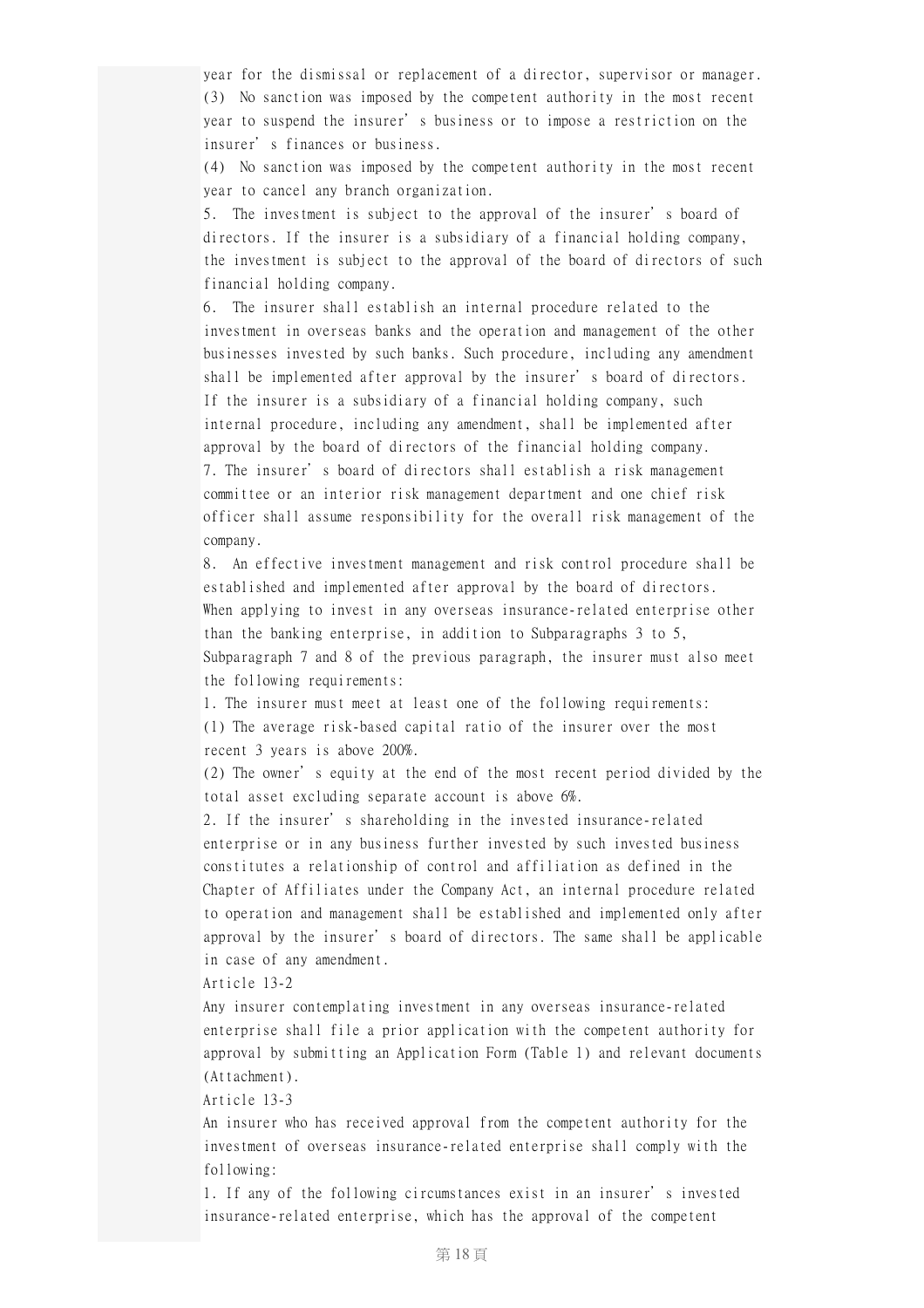year for the dismissal or replacement of a director, supervisor or manager. (3) No sanction was imposed by the competent authority in the most recent year to suspend the insurer's business or to impose a restriction on the insurer's finances or business.

(4) No sanction was imposed by the competent authority in the most recent year to cancel any branch organization.

5. The investment is subject to the approval of the insurer's board of directors. If the insurer is a subsidiary of a financial holding company, the investment is subject to the approval of the board of directors of such financial holding company.

6. The insurer shall establish an internal procedure related to the investment in overseas banks and the operation and management of the other businesses invested by such banks. Such procedure, including any amendment shall be implemented after approval by the insurer's board of directors. If the insurer is a subsidiary of a financial holding company, such internal procedure, including any amendment, shall be implemented after approval by the board of directors of the financial holding company. 7. The insurer's board of directors shall establish a risk management committee or an interior risk management department and one chief risk officer shall assume responsibility for the overall risk management of the company.

8. An effective investment management and risk control procedure shall be established and implemented after approval by the board of directors. When applying to invest in any overseas insurance-related enterprise other than the banking enterprise, in addition to Subparagraphs 3 to 5, Subparagraph 7 and 8 of the previous paragraph, the insurer must also meet the following requirements:

1. The insurer must meet at least one of the following requirements: (1) The average risk-based capital ratio of the insurer over the most recent 3 years is above 200%.

(2) The owner's equity at the end of the most recent period divided by the total asset excluding separate account is above 6%.

2. If the insurer's shareholding in the invested insurance-related enterprise or in any business further invested by such invested business constitutes a relationship of control and affiliation as defined in the Chapter of Affiliates under the Company Act, an internal procedure related to operation and management shall be established and implemented only after approval by the insurer's board of directors. The same shall be applicable in case of any amendment.

Article 13-2

Any insurer contemplating investment in any overseas insurance-related enterprise shall file a prior application with the competent authority for approval by submitting an Application Form (Table 1) and relevant documents (Attachment).

Article 13-3

An insurer who has received approval from the competent authority for the investment of overseas insurance-related enterprise shall comply with the following:

1. If any of the following circumstances exist in an insurer's invested insurance-related enterprise, which has the approval of the competent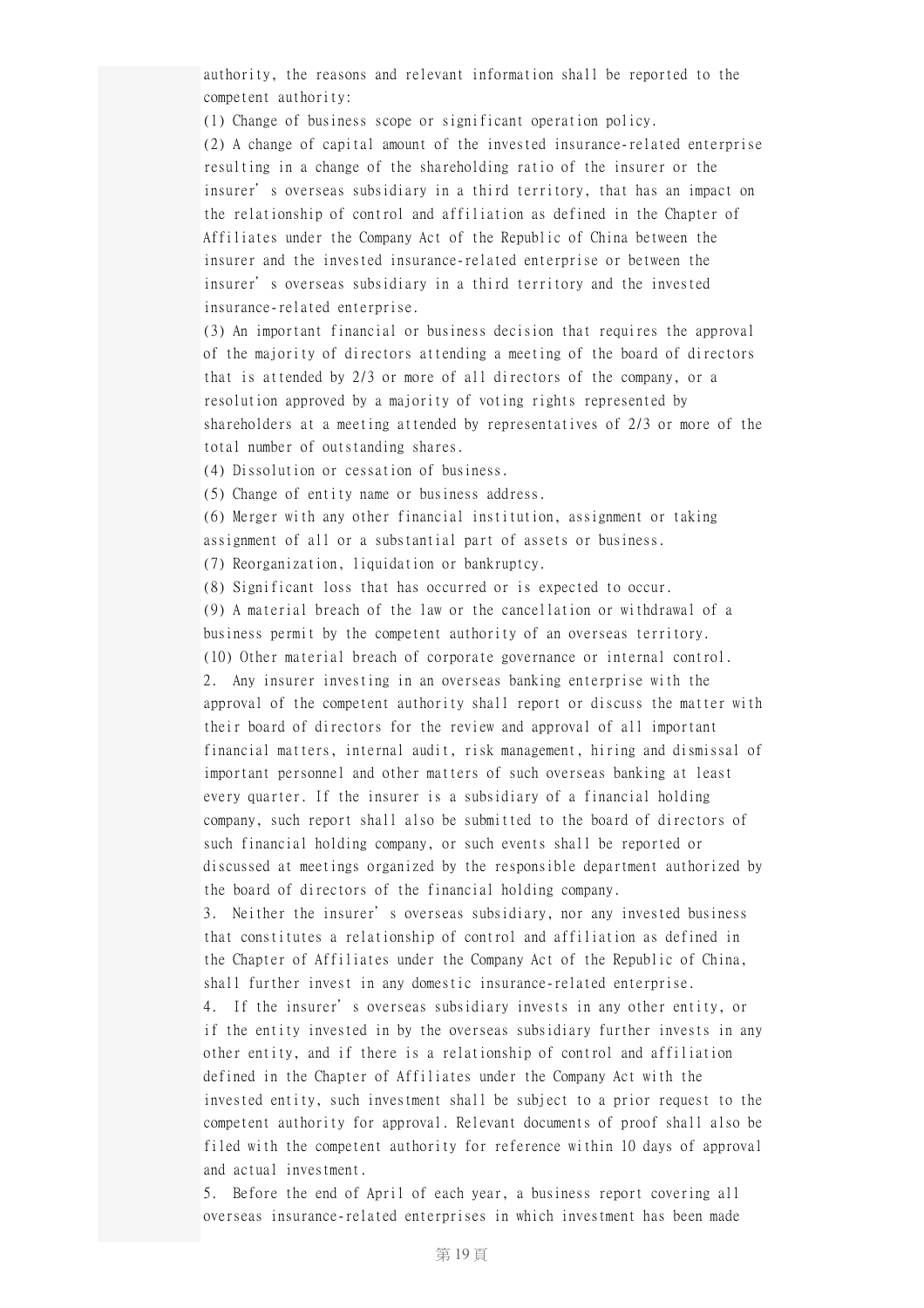authority, the reasons and relevant information shall be reported to the competent authority:

(1) Change of business scope or significant operation policy.

(2) A change of capital amount of the invested insurance-related enterprise resulting in a change of the shareholding ratio of the insurer or the insurer's overseas subsidiary in a third territory, that has an impact on the relationship of control and affiliation as defined in the Chapter of Affiliates under the Company Act of the Republic of China between the insurer and the invested insurance-related enterprise or between the insurer's overseas subsidiary in a third territory and the invested insurance-related enterprise.

(3) An important financial or business decision that requires the approval of the majority of directors attending a meeting of the board of directors that is attended by 2/3 or more of all directors of the company, or a resolution approved by a majority of voting rights represented by shareholders at a meeting attended by representatives of 2/3 or more of the total number of outstanding shares.

(4) Dissolution or cessation of business.

(5) Change of entity name or business address.

(6) Merger with any other financial institution, assignment or taking assignment of all or a substantial part of assets or business.

(7) Reorganization, liquidation or bankruptcy.

(8) Significant loss that has occurred or is expected to occur.

(9) A material breach of the law or the cancellation or withdrawal of a business permit by the competent authority of an overseas territory. (10) Other material breach of corporate governance or internal control. 2. Any insurer investing in an overseas banking enterprise with the approval of the competent authority shall report or discuss the matter with their board of directors for the review and approval of all important financial matters, internal audit, risk management, hiring and dismissal of important personnel and other matters of such overseas banking at least every quarter. If the insurer is a subsidiary of a financial holding company, such report shall also be submitted to the board of directors of such financial holding company, or such events shall be reported or discussed at meetings organized by the responsible department authorized by the board of directors of the financial holding company.

3. Neither the insurer's overseas subsidiary, nor any invested business that constitutes a relationship of control and affiliation as defined in the Chapter of Affiliates under the Company Act of the Republic of China, shall further invest in any domestic insurance-related enterprise.

4. If the insurer's overseas subsidiary invests in any other entity, or if the entity invested in by the overseas subsidiary further invests in any other entity, and if there is a relationship of control and affiliation defined in the Chapter of Affiliates under the Company Act with the invested entity, such investment shall be subject to a prior request to the competent authority for approval. Relevant documents of proof shall also be filed with the competent authority for reference within 10 days of approval and actual investment.

5. Before the end of April of each year, a business report covering all overseas insurance-related enterprises in which investment has been made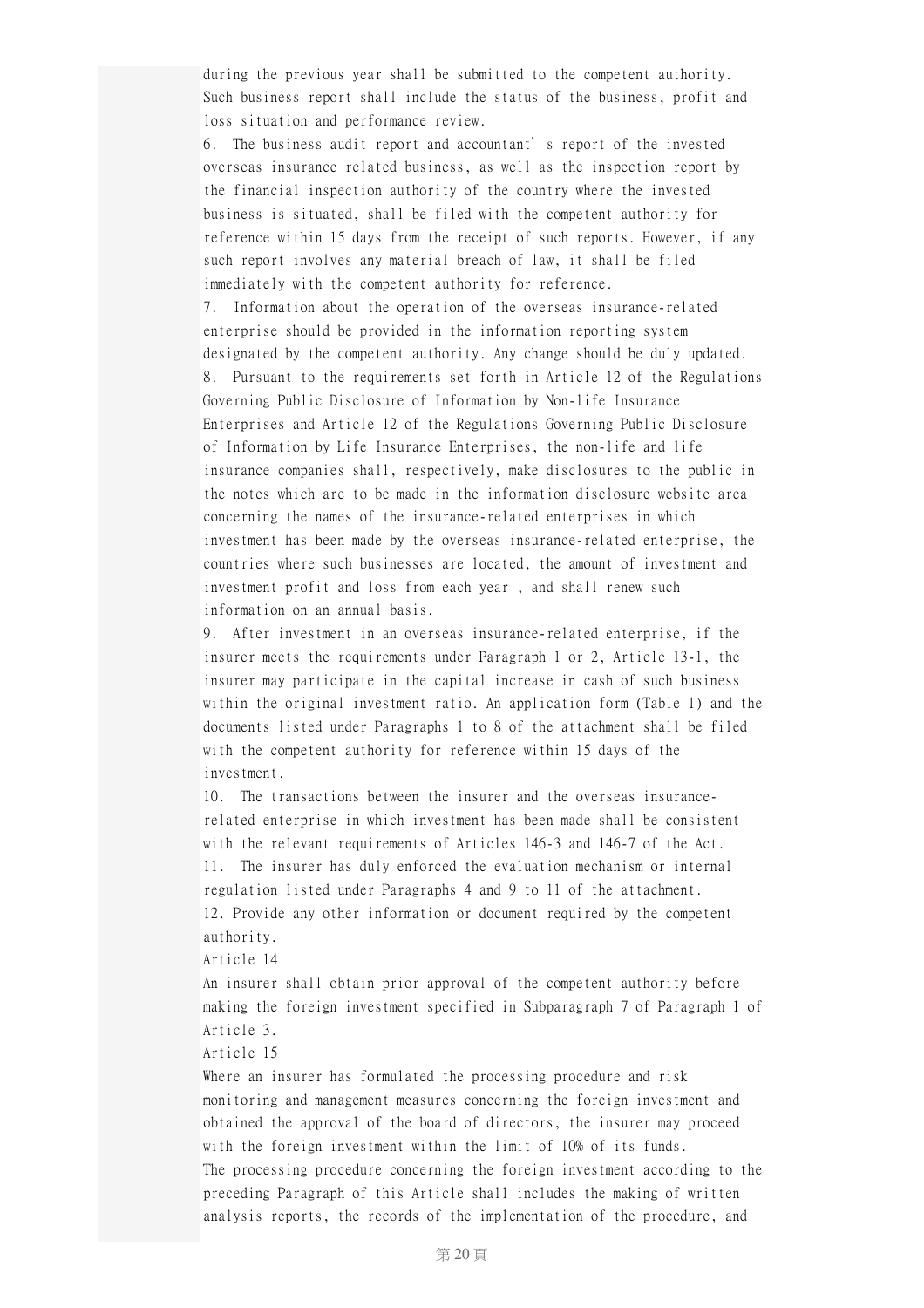during the previous year shall be submitted to the competent authority. Such business report shall include the status of the business, profit and loss situation and performance review.

6. The business audit report and accountant's report of the invested overseas insurance related business, as well as the inspection report by the financial inspection authority of the country where the invested business is situated, shall be filed with the competent authority for reference within 15 days from the receipt of such reports. However, if any such report involves any material breach of law, it shall be filed immediately with the competent authority for reference.

7. Information about the operation of the overseas insurance-related enterprise should be provided in the information reporting system designated by the competent authority. Any change should be duly updated. 8. Pursuant to the requirements set forth in Article 12 of the Regulations Governing Public Disclosure of Information by Non-life Insurance Enterprises and Article 12 of the Regulations Governing Public Disclosure of Information by Life Insurance Enterprises, the non-life and life insurance companies shall, respectively, make disclosures to the public in the notes which are to be made in the information disclosure website area concerning the names of the insurance-related enterprises in which investment has been made by the overseas insurance-related enterprise, the countries where such businesses are located, the amount of investment and investment profit and loss from each year , and shall renew such information on an annual basis.

9. After investment in an overseas insurance-related enterprise, if the insurer meets the requirements under Paragraph 1 or 2, Article 13-1, the insurer may participate in the capital increase in cash of such business within the original investment ratio. An application form (Table 1) and the documents listed under Paragraphs 1 to 8 of the attachment shall be filed with the competent authority for reference within 15 days of the investment.

10. The transactions between the insurer and the overseas insurancerelated enterprise in which investment has been made shall be consistent with the relevant requirements of Articles 146-3 and 146-7 of the Act. 11. The insurer has duly enforced the evaluation mechanism or internal regulation listed under Paragraphs 4 and 9 to 11 of the attachment. 12. Provide any other information or document required by the competent authority.

Article 14

An insurer shall obtain prior approval of the competent authority before making the foreign investment specified in Subparagraph 7 of Paragraph 1 of Article 3.

Article 15

Where an insurer has formulated the processing procedure and risk monitoring and management measures concerning the foreign investment and obtained the approval of the board of directors, the insurer may proceed with the foreign investment within the limit of 10% of its funds. The processing procedure concerning the foreign investment according to the preceding Paragraph of this Article shall includes the making of written analysis reports, the records of the implementation of the procedure, and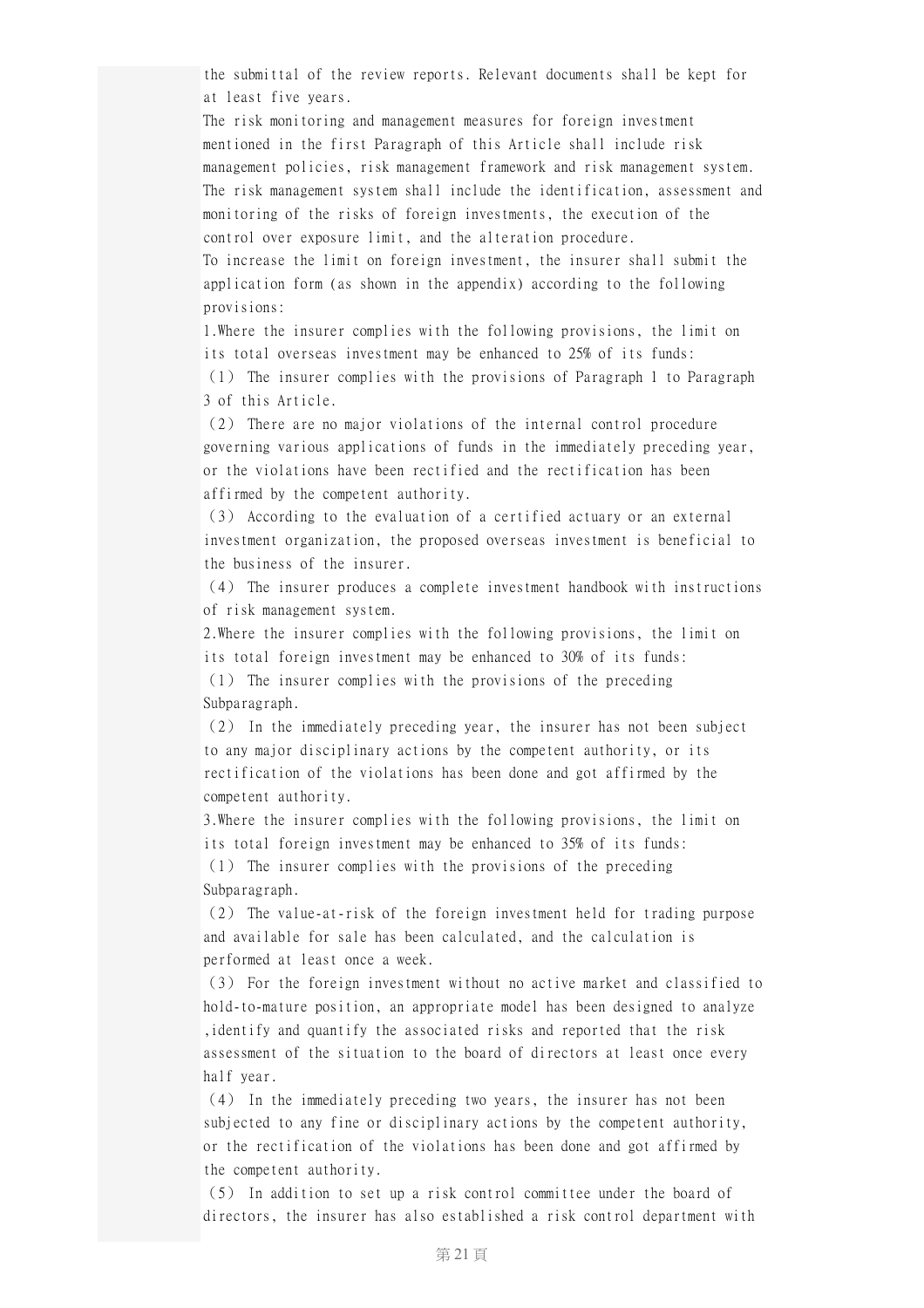the submittal of the review reports. Relevant documents shall be kept for at least five years.

The risk monitoring and management measures for foreign investment mentioned in the first Paragraph of this Article shall include risk management policies, risk management framework and risk management system. The risk management system shall include the identification, assessment and monitoring of the risks of foreign investments, the execution of the control over exposure limit, and the alteration procedure.

To increase the limit on foreign investment, the insurer shall submit the application form (as shown in the appendix) according to the following provisions:

1.Where the insurer complies with the following provisions, the limit on its total overseas investment may be enhanced to 25% of its funds: (1) The insurer complies with the provisions of Paragraph 1 to Paragraph

3 of this Article.

(2) There are no major violations of the internal control procedure governing various applications of funds in the immediately preceding year, or the violations have been rectified and the rectification has been affirmed by the competent authority.

(3) According to the evaluation of a certified actuary or an external investment organization, the proposed overseas investment is beneficial to the business of the insurer.

(4) The insurer produces a complete investment handbook with instructions of risk management system.

2.Where the insurer complies with the following provisions, the limit on its total foreign investment may be enhanced to 30% of its funds: (1) The insurer complies with the provisions of the preceding

Subparagraph.

(2) In the immediately preceding year, the insurer has not been subject to any major disciplinary actions by the competent authority, or its rectification of the violations has been done and got affirmed by the competent authority.

3.Where the insurer complies with the following provisions, the limit on its total foreign investment may be enhanced to 35% of its funds: (1) The insurer complies with the provisions of the preceding Subparagraph.

(2) The value-at-risk of the foreign investment held for trading purpose and available for sale has been calculated, and the calculation is performed at least once a week.

(3) For the foreign investment without no active market and classified to hold-to-mature position, an appropriate model has been designed to analyze ,identify and quantify the associated risks and reported that the risk assessment of the situation to the board of directors at least once every half year.

(4) In the immediately preceding two years, the insurer has not been subjected to any fine or disciplinary actions by the competent authority, or the rectification of the violations has been done and got affirmed by the competent authority.

(5) In addition to set up a risk control committee under the board of directors, the insurer has also established a risk control department with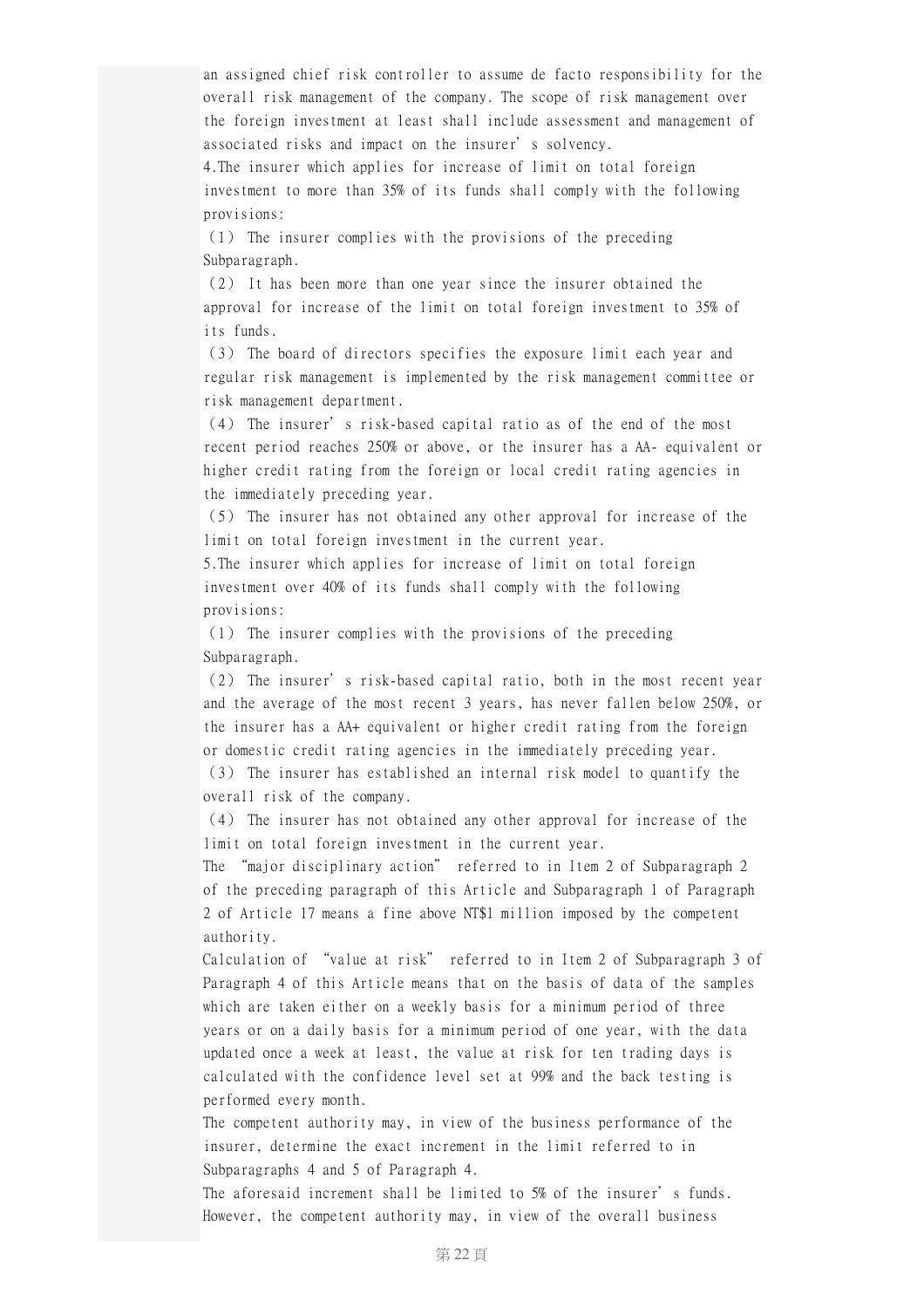an assigned chief risk controller to assume de facto responsibility for the overall risk management of the company. The scope of risk management over the foreign investment at least shall include assessment and management of associated risks and impact on the insurer's solvency.

4.The insurer which applies for increase of limit on total foreign investment to more than 35% of its funds shall comply with the following provisions:

(1) The insurer complies with the provisions of the preceding Subparagraph.

(2) It has been more than one year since the insurer obtained the approval for increase of the limit on total foreign investment to 35% of its funds.

(3) The board of directors specifies the exposure limit each year and regular risk management is implemented by the risk management committee or risk management department.

(4) The insurer's risk-based capital ratio as of the end of the most recent period reaches 250% or above, or the insurer has a AA- equivalent or higher credit rating from the foreign or local credit rating agencies in the immediately preceding year.

(5) The insurer has not obtained any other approval for increase of the limit on total foreign investment in the current year.

5.The insurer which applies for increase of limit on total foreign investment over 40% of its funds shall comply with the following provisions:

(1) The insurer complies with the provisions of the preceding Subparagraph.

(2) The insurer's risk-based capital ratio, both in the most recent year and the average of the most recent 3 years, has never fallen below 250%, or the insurer has a AA+ equivalent or higher credit rating from the foreign or domestic credit rating agencies in the immediately preceding year.

(3) The insurer has established an internal risk model to quantify the overall risk of the company.

(4) The insurer has not obtained any other approval for increase of the limit on total foreign investment in the current year.

The "major disciplinary action" referred to in Item 2 of Subparagraph 2 of the preceding paragraph of this Article and Subparagraph 1 of Paragraph 2 of Article 17 means a fine above NT\$1 million imposed by the competent authority.

Calculation of "value at risk" referred to in Item 2 of Subparagraph 3 of Paragraph 4 of this Article means that on the basis of data of the samples which are taken either on a weekly basis for a minimum period of three years or on a daily basis for a minimum period of one year, with the data updated once a week at least, the value at risk for ten trading days is calculated with the confidence level set at 99% and the back testing is performed every month.

The competent authority may, in view of the business performance of the insurer, determine the exact increment in the limit referred to in Subparagraphs 4 and 5 of Paragraph 4.

The aforesaid increment shall be limited to 5% of the insurer's funds. However, the competent authority may, in view of the overall business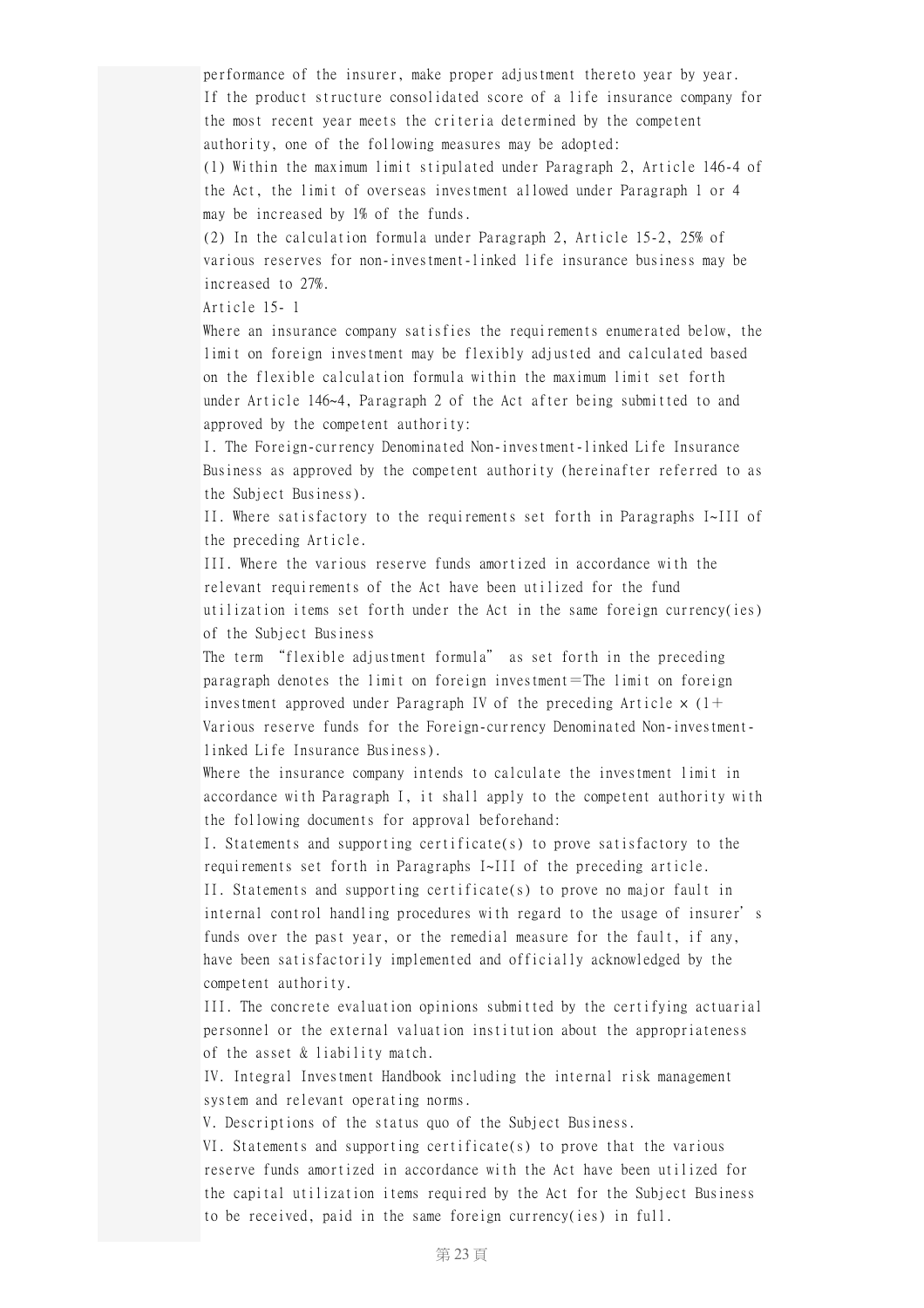performance of the insurer, make proper adjustment thereto year by year. If the product structure consolidated score of a life insurance company for the most recent year meets the criteria determined by the competent authority, one of the following measures may be adopted:

(1) Within the maximum limit stipulated under Paragraph 2, Article 146-4 of the Act, the limit of overseas investment allowed under Paragraph 1 or 4 may be increased by 1% of the funds.

(2) In the calculation formula under Paragraph 2, Article 15-2, 25% of various reserves for non-investment-linked life insurance business may be increased to 27%.

Article 15- 1

Where an insurance company satisfies the requirements enumerated below, the limit on foreign investment may be flexibly adjusted and calculated based on the flexible calculation formula within the maximum limit set forth under Article 146~4, Paragraph 2 of the Act after being submitted to and approved by the competent authority:

I. The Foreign-currency Denominated Non-investment-linked Life Insurance Business as approved by the competent authority (hereinafter referred to as the Subject Business).

II. Where satisfactory to the requirements set forth in Paragraphs I~III of the preceding Article.

III. Where the various reserve funds amortized in accordance with the relevant requirements of the Act have been utilized for the fund utilization items set forth under the Act in the same foreign currency(ies) of the Subject Business

The term "flexible adjustment formula" as set forth in the preceding paragraph denotes the limit on foreign investment=The limit on foreign investment approved under Paragraph IV of the preceding Article  $\times$  (1+ Various reserve funds for the Foreign-currency Denominated Non-investmentlinked Life Insurance Business).

Where the insurance company intends to calculate the investment limit in accordance with Paragraph I, it shall apply to the competent authority with the following documents for approval beforehand:

I. Statements and supporting certificate(s) to prove satisfactory to the requirements set forth in Paragraphs I~III of the preceding article. II. Statements and supporting certificate(s) to prove no major fault in internal control handling procedures with regard to the usage of insurer's funds over the past year, or the remedial measure for the fault, if any, have been satisfactorily implemented and officially acknowledged by the competent authority.

III. The concrete evaluation opinions submitted by the certifying actuarial personnel or the external valuation institution about the appropriateness of the asset & liability match.

IV. Integral Investment Handbook including the internal risk management system and relevant operating norms.

V. Descriptions of the status quo of the Subject Business.

VI. Statements and supporting certificate(s) to prove that the various reserve funds amortized in accordance with the Act have been utilized for the capital utilization items required by the Act for the Subject Business to be received, paid in the same foreign currency(ies) in full.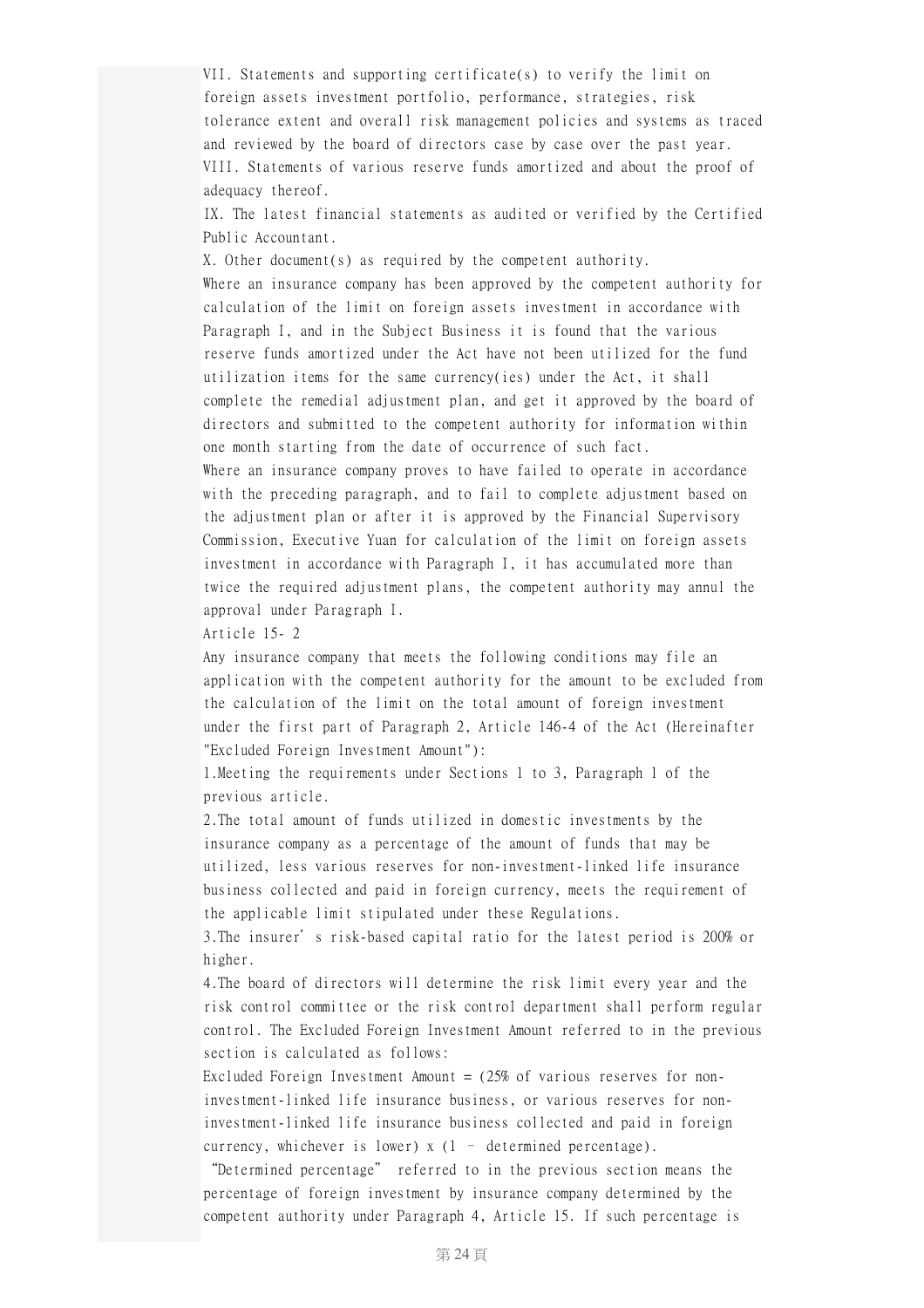VII. Statements and supporting certificate(s) to verify the limit on foreign assets investment portfolio, performance, strategies, risk tolerance extent and overall risk management policies and systems as traced and reviewed by the board of directors case by case over the past year. VIII. Statements of various reserve funds amortized and about the proof of adequacy thereof.

IX. The latest financial statements as audited or verified by the Certified Public Accountant.

X. Other document(s) as required by the competent authority. Where an insurance company has been approved by the competent authority for calculation of the limit on foreign assets investment in accordance with Paragraph I, and in the Subject Business it is found that the various reserve funds amortized under the Act have not been utilized for the fund utilization items for the same currency(ies) under the Act, it shall complete the remedial adjustment plan, and get it approved by the board of directors and submitted to the competent authority for information within one month starting from the date of occurrence of such fact.

Where an insurance company proves to have failed to operate in accordance with the preceding paragraph, and to fail to complete adjustment based on the adjustment plan or after it is approved by the Financial Supervisory Commission, Executive Yuan for calculation of the limit on foreign assets investment in accordance with Paragraph I, it has accumulated more than twice the required adjustment plans, the competent authority may annul the approval under Paragraph I.

Article 15- 2

Any insurance company that meets the following conditions may file an application with the competent authority for the amount to be excluded from the calculation of the limit on the total amount of foreign investment under the first part of Paragraph 2, Article 146-4 of the Act (Hereinafter "Excluded Foreign Investment Amount"):

1.Meeting the requirements under Sections 1 to 3, Paragraph 1 of the previous article.

2.The total amount of funds utilized in domestic investments by the insurance company as a percentage of the amount of funds that may be utilized, less various reserves for non-investment-linked life insurance business collected and paid in foreign currency, meets the requirement of the applicable limit stipulated under these Regulations.

3.The insurer's risk-based capital ratio for the latest period is 200% or higher.

4.The board of directors will determine the risk limit every year and the risk control committee or the risk control department shall perform regular control. The Excluded Foreign Investment Amount referred to in the previous section is calculated as follows:

Excluded Foreign Investment Amount  $=$  (25% of various reserves for noninvestment-linked life insurance business, or various reserves for noninvestment-linked life insurance business collected and paid in foreign currency, whichever is lower) x (1 – determined percentage).

"Determined percentage" referred to in the previous section means the percentage of foreign investment by insurance company determined by the competent authority under Paragraph 4, Article 15. If such percentage is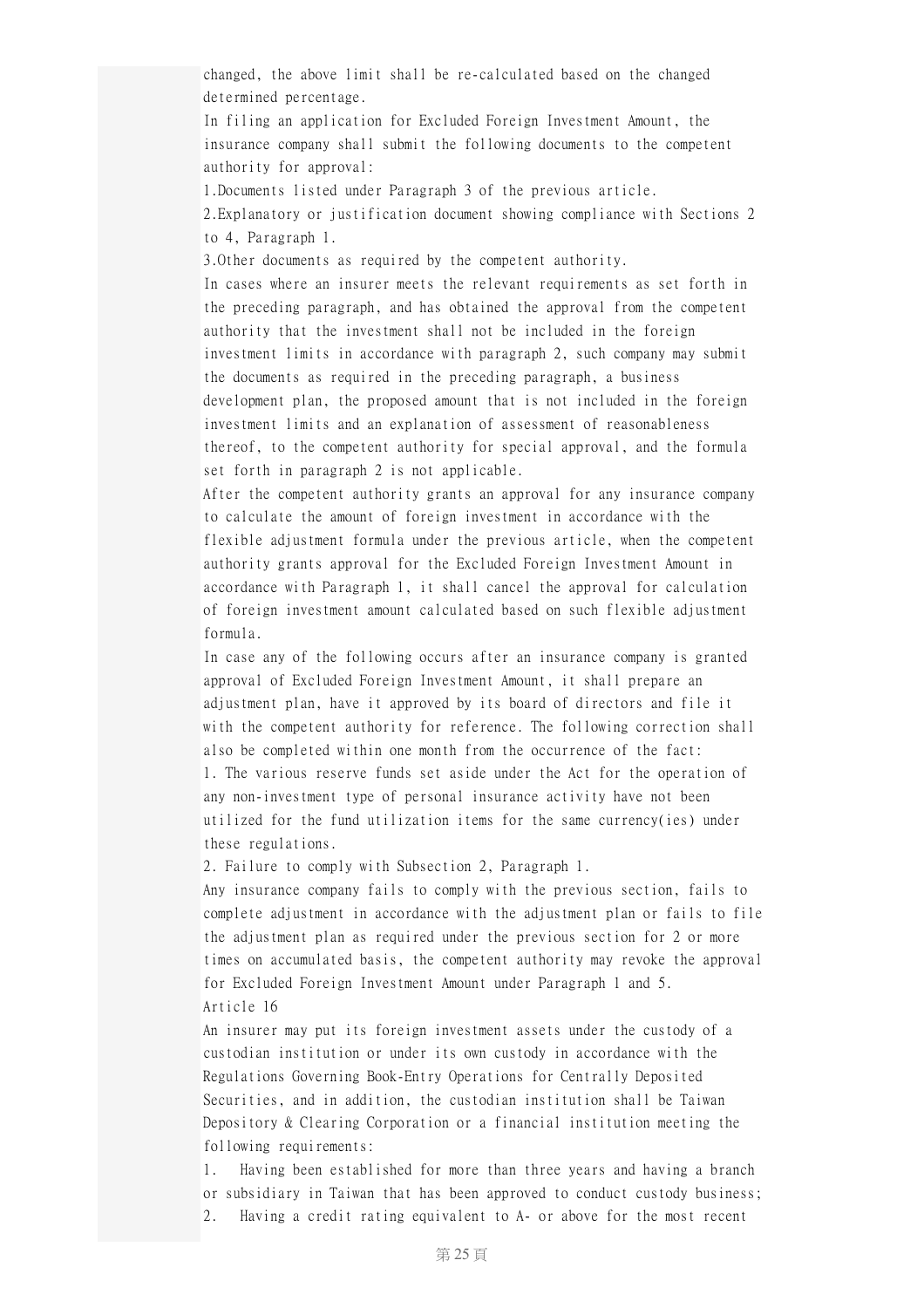changed, the above limit shall be re-calculated based on the changed determined percentage.

In filing an application for Excluded Foreign Investment Amount, the insurance company shall submit the following documents to the competent authority for approval:

1.Documents listed under Paragraph 3 of the previous article.

2.Explanatory or justification document showing compliance with Sections 2 to 4, Paragraph 1.

3.Other documents as required by the competent authority.

In cases where an insurer meets the relevant requirements as set forth in the preceding paragraph, and has obtained the approval from the competent authority that the investment shall not be included in the foreign investment limits in accordance with paragraph 2, such company may submit the documents as required in the preceding paragraph, a business development plan, the proposed amount that is not included in the foreign investment limits and an explanation of assessment of reasonableness thereof, to the competent authority for special approval, and the formula set forth in paragraph 2 is not applicable.

After the competent authority grants an approval for any insurance company to calculate the amount of foreign investment in accordance with the flexible adjustment formula under the previous article, when the competent authority grants approval for the Excluded Foreign Investment Amount in accordance with Paragraph 1, it shall cancel the approval for calculation of foreign investment amount calculated based on such flexible adjustment formula.

In case any of the following occurs after an insurance company is granted approval of Excluded Foreign Investment Amount, it shall prepare an adjustment plan, have it approved by its board of directors and file it with the competent authority for reference. The following correction shall also be completed within one month from the occurrence of the fact: 1. The various reserve funds set aside under the Act for the operation of any non-investment type of personal insurance activity have not been utilized for the fund utilization items for the same currency(ies) under these regulations.

2. Failure to comply with Subsection 2, Paragraph 1.

Any insurance company fails to comply with the previous section, fails to complete adjustment in accordance with the adjustment plan or fails to file the adjustment plan as required under the previous section for 2 or more times on accumulated basis, the competent authority may revoke the approval for Excluded Foreign Investment Amount under Paragraph 1 and 5. Article 16

An insurer may put its foreign investment assets under the custody of a custodian institution or under its own custody in accordance with the Regulations Governing Book-Entry Operations for Centrally Deposited Securities, and in addition, the custodian institution shall be Taiwan Depository & Clearing Corporation or a financial institution meeting the following requirements:

1. Having been established for more than three years and having a branch or subsidiary in Taiwan that has been approved to conduct custody business; 2. Having a credit rating equivalent to A- or above for the most recent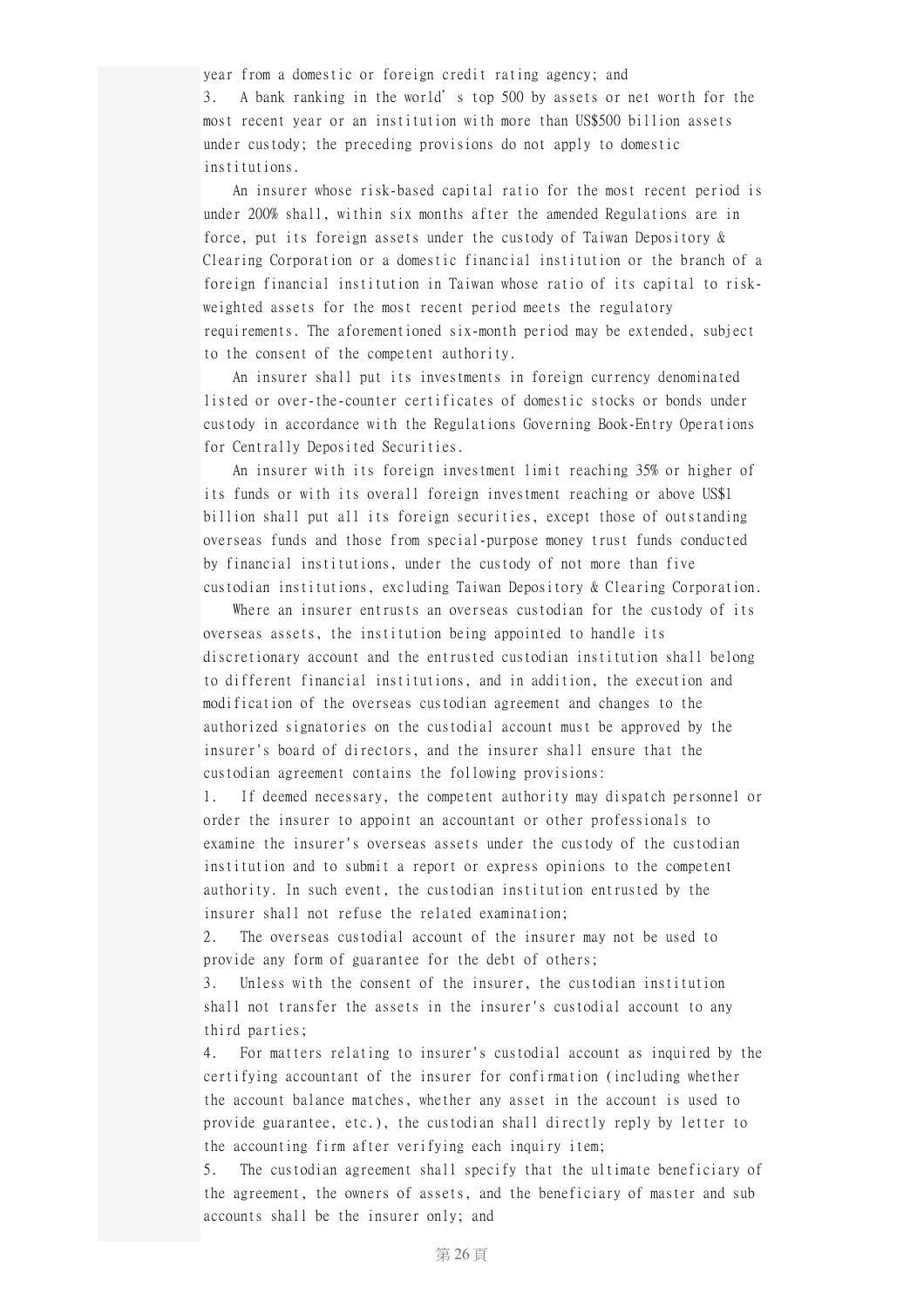year from a domestic or foreign credit rating agency; and

3. A bank ranking in the world's top 500 by assets or net worth for the most recent year or an institution with more than US\$500 billion assets under custody; the preceding provisions do not apply to domestic institutions.

An insurer whose risk-based capital ratio for the most recent period is under 200% shall, within six months after the amended Regulations are in force, put its foreign assets under the custody of Taiwan Depository & Clearing Corporation or a domestic financial institution or the branch of a foreign financial institution in Taiwan whose ratio of its capital to riskweighted assets for the most recent period meets the regulatory requirements. The aforementioned six-month period may be extended, subject to the consent of the competent authority.

An insurer shall put its investments in foreign currency denominated listed or over-the-counter certificates of domestic stocks or bonds under custody in accordance with the Regulations Governing Book-Entry Operations for Centrally Deposited Securities.

An insurer with its foreign investment limit reaching 35% or higher of its funds or with its overall foreign investment reaching or above US\$1 billion shall put all its foreign securities, except those of outstanding overseas funds and those from special-purpose money trust funds conducted by financial institutions, under the custody of not more than five custodian institutions, excluding Taiwan Depository & Clearing Corporation.

Where an insurer entrusts an overseas custodian for the custody of its overseas assets, the institution being appointed to handle its discretionary account and the entrusted custodian institution shall belong to different financial institutions, and in addition, the execution and modification of the overseas custodian agreement and changes to the authorized signatories on the custodial account must be approved by the insurer's board of directors, and the insurer shall ensure that the custodian agreement contains the following provisions:

1. If deemed necessary, the competent authority may dispatch personnel or order the insurer to appoint an accountant or other professionals to examine the insurer's overseas assets under the custody of the custodian institution and to submit a report or express opinions to the competent authority. In such event, the custodian institution entrusted by the insurer shall not refuse the related examination;

2. The overseas custodial account of the insurer may not be used to provide any form of guarantee for the debt of others;

3. Unless with the consent of the insurer, the custodian institution shall not transfer the assets in the insurer's custodial account to any third parties;

4. For matters relating to insurer's custodial account as inquired by the certifying accountant of the insurer for confirmation (including whether the account balance matches, whether any asset in the account is used to provide guarantee, etc.), the custodian shall directly reply by letter to the accounting firm after verifying each inquiry item;

5. The custodian agreement shall specify that the ultimate beneficiary of the agreement, the owners of assets, and the beneficiary of master and sub accounts shall be the insurer only; and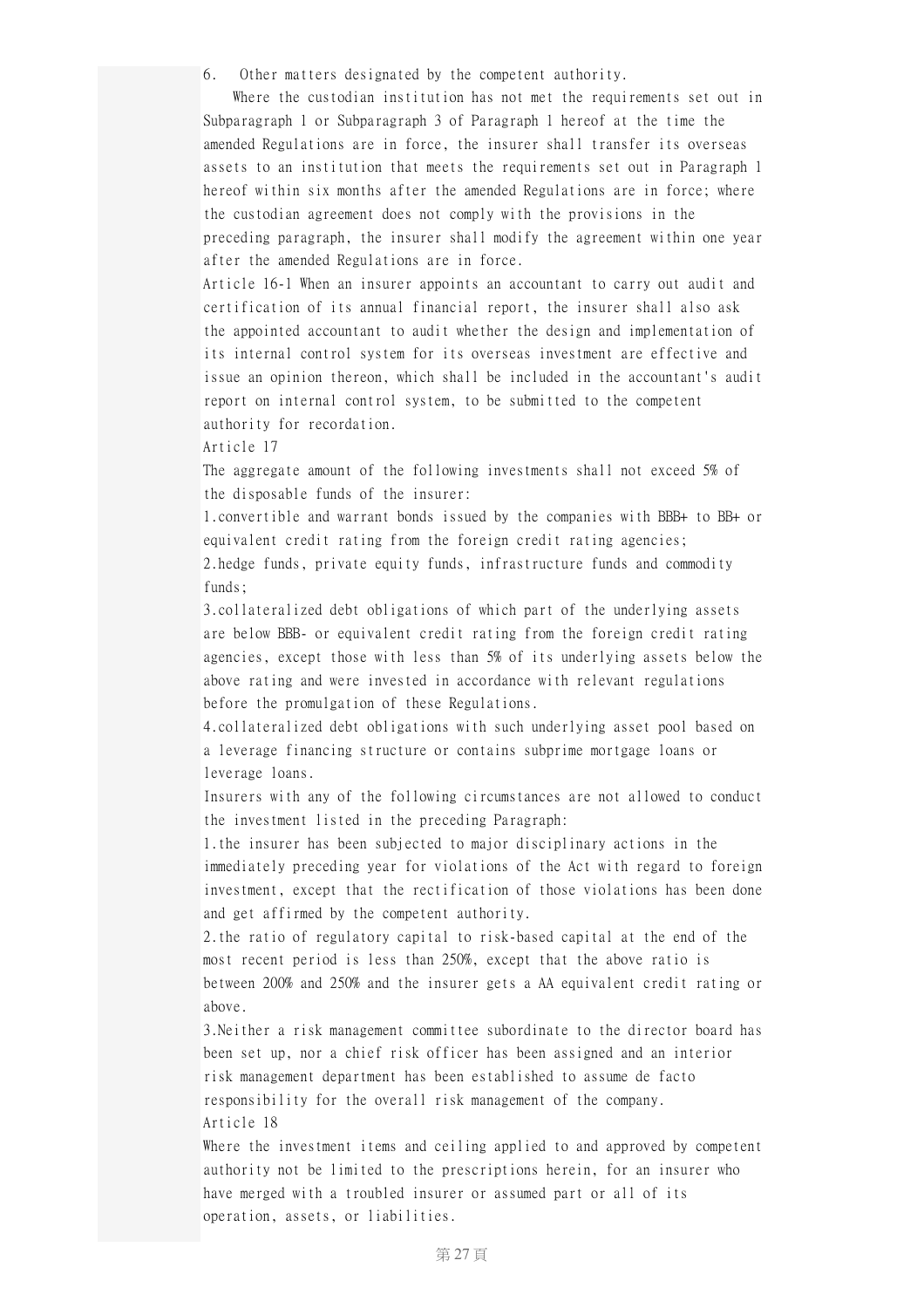6. Other matters designated by the competent authority.

Where the custodian institution has not met the requirements set out in Subparagraph 1 or Subparagraph 3 of Paragraph 1 hereof at the time the amended Regulations are in force, the insurer shall transfer its overseas assets to an institution that meets the requirements set out in Paragraph 1 hereof within six months after the amended Regulations are in force; where the custodian agreement does not comply with the provisions in the preceding paragraph, the insurer shall modify the agreement within one year after the amended Regulations are in force.

Article 16-1 When an insurer appoints an accountant to carry out audit and certification of its annual financial report, the insurer shall also ask the appointed accountant to audit whether the design and implementation of its internal control system for its overseas investment are effective and issue an opinion thereon, which shall be included in the accountant's audit report on internal control system, to be submitted to the competent authority for recordation.

Article 17

The aggregate amount of the following investments shall not exceed 5% of the disposable funds of the insurer:

1.convertible and warrant bonds issued by the companies with BBB+ to BB+ or equivalent credit rating from the foreign credit rating agencies; 2.hedge funds, private equity funds, infrastructure funds and commodity funds;

3.collateralized debt obligations of which part of the underlying assets are below BBB- or equivalent credit rating from the foreign credit rating agencies, except those with less than 5% of its underlying assets below the above rating and were invested in accordance with relevant regulations before the promulgation of these Regulations.

4.collateralized debt obligations with such underlying asset pool based on a leverage financing structure or contains subprime mortgage loans or leverage loans.

Insurers with any of the following circumstances are not allowed to conduct the investment listed in the preceding Paragraph:

1.the insurer has been subjected to major disciplinary actions in the immediately preceding year for violations of the Act with regard to foreign investment, except that the rectification of those violations has been done and get affirmed by the competent authority.

2.the ratio of regulatory capital to risk-based capital at the end of the most recent period is less than 250%, except that the above ratio is between 200% and 250% and the insurer gets a AA equivalent credit rating or above.

3.Neither a risk management committee subordinate to the director board has been set up, nor a chief risk officer has been assigned and an interior risk management department has been established to assume de facto responsibility for the overall risk management of the company. Article 18

Where the investment items and ceiling applied to and approved by competent authority not be limited to the prescriptions herein, for an insurer who have merged with a troubled insurer or assumed part or all of its operation, assets, or liabilities.